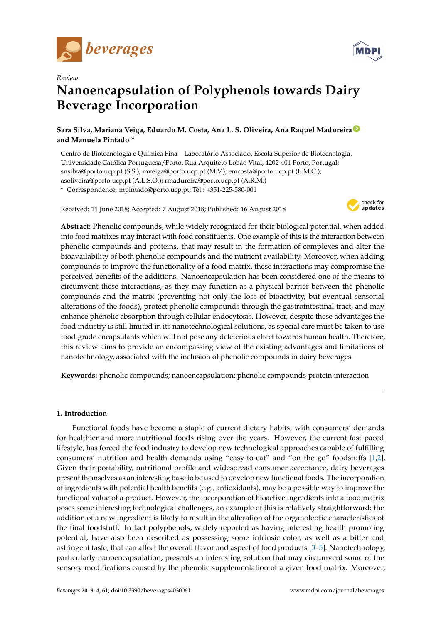



# **Nanoencapsulation of Polyphenols towards Dairy Beverage Incorporation**

**Sara Silva, Mariana Veiga, Eduardo M. Costa, Ana L. S. Oliveira, Ana Raquel Madureira [ID](https://orcid.org/0000-0001-6596-1927) and Manuela Pintado \***

Centro de Biotecnologia e Química Fina—Laboratório Associado, Escola Superior de Biotecnologia, Universidade Católica Portuguesa/Porto, Rua Arquiteto Lobão Vital, 4202-401 Porto, Portugal; snsilva@porto.ucp.pt (S.S.); mveiga@porto.ucp.pt (M.V.); emcosta@porto.ucp.pt (E.M.C.); asoliveira@porto.ucp.pt (A.L.S.O.); rmadureira@porto.ucp.pt (A.R.M.) **\*** Correspondence: mpintado@porto.ucp.pt; Tel.: +351-225-580-001

Received: 11 June 2018; Accepted: 7 August 2018; Published: 16 August 2018



**Abstract:** Phenolic compounds, while widely recognized for their biological potential, when added into food matrixes may interact with food constituents. One example of this is the interaction between phenolic compounds and proteins, that may result in the formation of complexes and alter the bioavailability of both phenolic compounds and the nutrient availability. Moreover, when adding compounds to improve the functionality of a food matrix, these interactions may compromise the perceived benefits of the additions. Nanoencapsulation has been considered one of the means to circumvent these interactions, as they may function as a physical barrier between the phenolic compounds and the matrix (preventing not only the loss of bioactivity, but eventual sensorial alterations of the foods), protect phenolic compounds through the gastrointestinal tract, and may enhance phenolic absorption through cellular endocytosis. However, despite these advantages the food industry is still limited in its nanotechnological solutions, as special care must be taken to use food-grade encapsulants which will not pose any deleterious effect towards human health. Therefore, this review aims to provide an encompassing view of the existing advantages and limitations of nanotechnology, associated with the inclusion of phenolic compounds in dairy beverages.

**Keywords:** phenolic compounds; nanoencapsulation; phenolic compounds-protein interaction

# **1. Introduction**

Functional foods have become a staple of current dietary habits, with consumers' demands for healthier and more nutritional foods rising over the years. However, the current fast paced lifestyle, has forced the food industry to develop new technological approaches capable of fulfilling consumers' nutrition and health demands using "easy-to-eat" and "on the go" foodstuffs [\[1,](#page-9-0)[2\]](#page-9-1). Given their portability, nutritional profile and widespread consumer acceptance, dairy beverages present themselves as an interesting base to be used to develop new functional foods. The incorporation of ingredients with potential health benefits (e.g., antioxidants), may be a possible way to improve the functional value of a product. However, the incorporation of bioactive ingredients into a food matrix poses some interesting technological challenges, an example of this is relatively straightforward: the addition of a new ingredient is likely to result in the alteration of the organoleptic characteristics of the final foodstuff. In fact polyphenols, widely reported as having interesting health promoting potential, have also been described as possessing some intrinsic color, as well as a bitter and astringent taste, that can affect the overall flavor and aspect of food products [\[3–](#page-9-2)[5\]](#page-9-3). Nanotechnology, particularly nanoencapsulation, presents an interesting solution that may circumvent some of the sensory modifications caused by the phenolic supplementation of a given food matrix. Moreover,

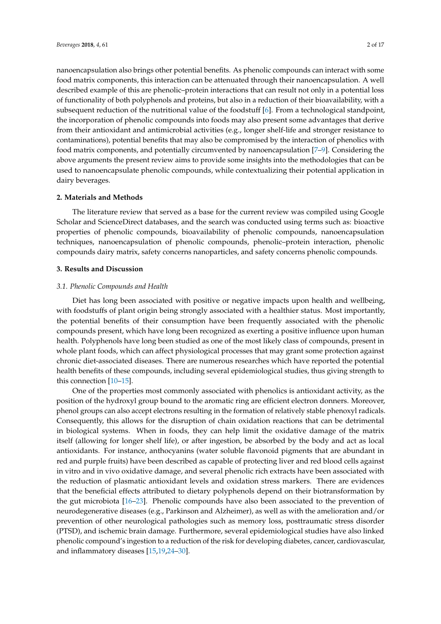nanoencapsulation also brings other potential benefits. As phenolic compounds can interact with some food matrix components, this interaction can be attenuated through their nanoencapsulation. A well described example of this are phenolic–protein interactions that can result not only in a potential loss of functionality of both polyphenols and proteins, but also in a reduction of their bioavailability, with a subsequent reduction of the nutritional value of the foodstuff [\[6\]](#page-9-4). From a technological standpoint, the incorporation of phenolic compounds into foods may also present some advantages that derive from their antioxidant and antimicrobial activities (e.g., longer shelf-life and stronger resistance to contaminations), potential benefits that may also be compromised by the interaction of phenolics with food matrix components, and potentially circumvented by nanoencapsulation [\[7](#page-9-5)[–9\]](#page-9-6). Considering the above arguments the present review aims to provide some insights into the methodologies that can be used to nanoencapsulate phenolic compounds, while contextualizing their potential application in dairy beverages.

## **2. Materials and Methods**

The literature review that served as a base for the current review was compiled using Google Scholar and ScienceDirect databases, and the search was conducted using terms such as: bioactive properties of phenolic compounds, bioavailability of phenolic compounds, nanoencapsulation techniques, nanoencapsulation of phenolic compounds, phenolic–protein interaction, phenolic compounds dairy matrix, safety concerns nanoparticles, and safety concerns phenolic compounds.

#### **3. Results and Discussion**

### *3.1. Phenolic Compounds and Health*

Diet has long been associated with positive or negative impacts upon health and wellbeing, with foodstuffs of plant origin being strongly associated with a healthier status. Most importantly, the potential benefits of their consumption have been frequently associated with the phenolic compounds present, which have long been recognized as exerting a positive influence upon human health. Polyphenols have long been studied as one of the most likely class of compounds, present in whole plant foods, which can affect physiological processes that may grant some protection against chronic diet-associated diseases. There are numerous researches which have reported the potential health benefits of these compounds, including several epidemiological studies, thus giving strength to this connection [\[10–](#page-9-7)[15\]](#page-10-0).

One of the properties most commonly associated with phenolics is antioxidant activity, as the position of the hydroxyl group bound to the aromatic ring are efficient electron donners. Moreover, phenol groups can also accept electrons resulting in the formation of relatively stable phenoxyl radicals. Consequently, this allows for the disruption of chain oxidation reactions that can be detrimental in biological systems. When in foods, they can help limit the oxidative damage of the matrix itself (allowing for longer shelf life), or after ingestion, be absorbed by the body and act as local antioxidants. For instance, anthocyanins (water soluble flavonoid pigments that are abundant in red and purple fruits) have been described as capable of protecting liver and red blood cells against in vitro and in vivo oxidative damage, and several phenolic rich extracts have been associated with the reduction of plasmatic antioxidant levels and oxidation stress markers. There are evidences that the beneficial effects attributed to dietary polyphenols depend on their biotransformation by the gut microbiota [\[16](#page-10-1)[–23\]](#page-10-2). Phenolic compounds have also been associated to the prevention of neurodegenerative diseases (e.g., Parkinson and Alzheimer), as well as with the amelioration and/or prevention of other neurological pathologies such as memory loss, posttraumatic stress disorder (PTSD), and ischemic brain damage. Furthermore, several epidemiological studies have also linked phenolic compound's ingestion to a reduction of the risk for developing diabetes, cancer, cardiovascular, and inflammatory diseases [\[15](#page-10-0)[,19](#page-10-3)[,24–](#page-10-4)[30\]](#page-11-0).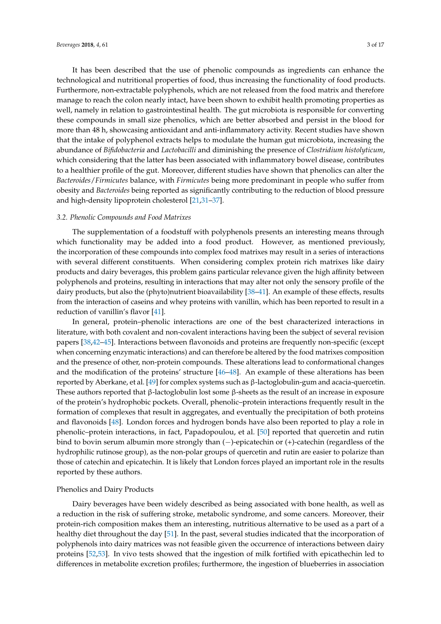It has been described that the use of phenolic compounds as ingredients can enhance the technological and nutritional properties of food, thus increasing the functionality of food products. Furthermore, non-extractable polyphenols, which are not released from the food matrix and therefore manage to reach the colon nearly intact, have been shown to exhibit health promoting properties as well, namely in relation to gastrointestinal health. The gut microbiota is responsible for converting these compounds in small size phenolics, which are better absorbed and persist in the blood for more than 48 h, showcasing antioxidant and anti-inflammatory activity. Recent studies have shown that the intake of polyphenol extracts helps to modulate the human gut microbiota, increasing the abundance of *Bifidobacteria* and *Lactobacilli* and diminishing the presence of *Clostridium histolyticum*, which considering that the latter has been associated with inflammatory bowel disease, contributes to a healthier profile of the gut. Moreover, different studies have shown that phenolics can alter the *Bacteroides*/*Firmicutes* balance, with *Firmicutes* being more predominant in people who suffer from obesity and *Bacteroides* being reported as significantly contributing to the reduction of blood pressure and high-density lipoprotein cholesterol [\[21](#page-10-5)[,31–](#page-11-1)[37\]](#page-11-2).

#### *3.2. Phenolic Compounds and Food Matrixes*

The supplementation of a foodstuff with polyphenols presents an interesting means through which functionality may be added into a food product. However, as mentioned previously, the incorporation of these compounds into complex food matrixes may result in a series of interactions with several different constituents. When considering complex protein rich matrixes like dairy products and dairy beverages, this problem gains particular relevance given the high affinity between polyphenols and proteins, resulting in interactions that may alter not only the sensory profile of the dairy products, but also the (phyto)nutrient bioavailability [\[38](#page-11-3)[–41\]](#page-11-4). An example of these effects, results from the interaction of caseins and whey proteins with vanillin, which has been reported to result in a reduction of vanillin's flavor [\[41\]](#page-11-4).

In general, protein–phenolic interactions are one of the best characterized interactions in literature, with both covalent and non-covalent interactions having been the subject of several revision papers [\[38,](#page-11-3)[42](#page-11-5)[–45\]](#page-11-6). Interactions between flavonoids and proteins are frequently non-specific (except when concerning enzymatic interactions) and can therefore be altered by the food matrixes composition and the presence of other, non-protein compounds. These alterations lead to conformational changes and the modification of the proteins' structure [\[46–](#page-11-7)[48\]](#page-11-8). An example of these alterations has been reported by Aberkane, et al. [\[49\]](#page-11-9) for complex systems such as β-lactoglobulin-gum and acacia-quercetin. These authors reported that β-lactoglobulin lost some β-sheets as the result of an increase in exposure of the protein's hydrophobic pockets. Overall, phenolic–protein interactions frequently result in the formation of complexes that result in aggregates, and eventually the precipitation of both proteins and flavonoids [\[48\]](#page-11-8). London forces and hydrogen bonds have also been reported to play a role in phenolic–protein interactions, in fact, Papadopoulou, et al. [\[50\]](#page-11-10) reported that quercetin and rutin bind to bovin serum albumin more strongly than (−)-epicatechin or (+)-catechin (regardless of the hydrophilic rutinose group), as the non-polar groups of quercetin and rutin are easier to polarize than those of catechin and epicatechin. It is likely that London forces played an important role in the results reported by these authors.

## Phenolics and Dairy Products

Dairy beverages have been widely described as being associated with bone health, as well as a reduction in the risk of suffering stroke, metabolic syndrome, and some cancers. Moreover, their protein-rich composition makes them an interesting, nutritious alternative to be used as a part of a healthy diet throughout the day [\[51\]](#page-11-11). In the past, several studies indicated that the incorporation of polyphenols into dairy matrices was not feasible given the occurrence of interactions between dairy proteins [\[52,](#page-11-12)[53\]](#page-12-0). In vivo tests showed that the ingestion of milk fortified with epicathechin led to differences in metabolite excretion profiles; furthermore, the ingestion of blueberries in association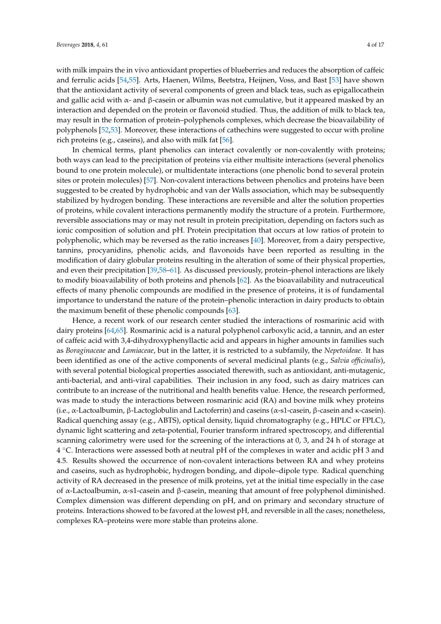with milk impairs the in vivo antioxidant properties of blueberries and reduces the absorption of caffeic and ferrulic acids [\[54,](#page-12-1)[55\]](#page-12-2). Arts, Haenen, Wilms, Beetstra, Heijnen, Voss, and Bast [\[53\]](#page-12-0) have shown that the antioxidant activity of several components of green and black teas, such as epigallocathein and gallic acid with  $\alpha$ - and  $\beta$ -casein or albumin was not cumulative, but it appeared masked by an interaction and depended on the protein or flavonoid studied. Thus, the addition of milk to black tea, may result in the formation of protein–polyphenols complexes, which decrease the bioavailability of polyphenols [\[52](#page-11-12)[,53\]](#page-12-0). Moreover, these interactions of cathechins were suggested to occur with proline rich proteins (e.g., caseins), and also with milk fat [\[56\]](#page-12-3).

In chemical terms, plant phenolics can interact covalently or non-covalently with proteins; both ways can lead to the precipitation of proteins via either multisite interactions (several phenolics bound to one protein molecule), or multidentate interactions (one phenolic bond to several protein sites or protein molecules) [\[57\]](#page-12-4). Non-covalent interactions between phenolics and proteins have been suggested to be created by hydrophobic and van der Walls association, which may be subsequently stabilized by hydrogen bonding. These interactions are reversible and alter the solution properties of proteins, while covalent interactions permanently modify the structure of a protein. Furthermore, reversible associations may or may not result in protein precipitation, depending on factors such as ionic composition of solution and pH. Protein precipitation that occurs at low ratios of protein to polyphenolic, which may be reversed as the ratio increases [\[40\]](#page-11-13). Moreover, from a dairy perspective, tannins, procyanidins, phenolic acids, and flavonoids have been reported as resulting in the modification of dairy globular proteins resulting in the alteration of some of their physical properties, and even their precipitation [\[39](#page-11-14)[,58–](#page-12-5)[61\]](#page-12-6). As discussed previously, protein–phenol interactions are likely to modify bioavailability of both proteins and phenols [\[62\]](#page-12-7). As the bioavailability and nutraceutical effects of many phenolic compounds are modified in the presence of proteins, it is of fundamental importance to understand the nature of the protein–phenolic interaction in dairy products to obtain the maximum benefit of these phenolic compounds [\[63\]](#page-12-8).

Hence, a recent work of our research center studied the interactions of rosmarinic acid with dairy proteins [\[64](#page-12-9)[,65\]](#page-12-10). Rosmarinic acid is a natural polyphenol carboxylic acid, a tannin, and an ester of caffeic acid with 3,4-dihydroxyphenyllactic acid and appears in higher amounts in families such as *Boraginaceae* and *Lamiaceae*, but in the latter, it is restricted to a subfamily, the *Nepetoideae*. It has been identified as one of the active components of several medicinal plants (e.g., *Salvia officinalis*), with several potential biological properties associated therewith, such as antioxidant, anti-mutagenic, anti-bacterial, and anti-viral capabilities. Their inclusion in any food, such as dairy matrices can contribute to an increase of the nutritional and health benefits value. Hence, the research performed, was made to study the interactions between rosmarinic acid (RA) and bovine milk whey proteins (i.e., α-Lactoalbumin, β-Lactoglobulin and Lactoferrin) and caseins (α-s1-casein, β-casein and κ-casein). Radical quenching assay (e.g., ABTS), optical density, liquid chromatography (e.g., HPLC or FPLC), dynamic light scattering and zeta-potential, Fourier transform infrared spectroscopy, and differential scanning calorimetry were used for the screening of the interactions at 0, 3, and 24 h of storage at 4 ◦C. Interactions were assessed both at neutral pH of the complexes in water and acidic pH 3 and 4.5. Results showed the occurrence of non-covalent interactions between RA and whey proteins and caseins, such as hydrophobic, hydrogen bonding, and dipole–dipole type. Radical quenching activity of RA decreased in the presence of milk proteins, yet at the initial time especially in the case of α-Lactoalbumin, α-s1-casein and β-casein, meaning that amount of free polyphenol diminished. Complex dimension was different depending on pH, and on primary and secondary structure of proteins. Interactions showed to be favored at the lowest pH, and reversible in all the cases; nonetheless, complexes RA–proteins were more stable than proteins alone.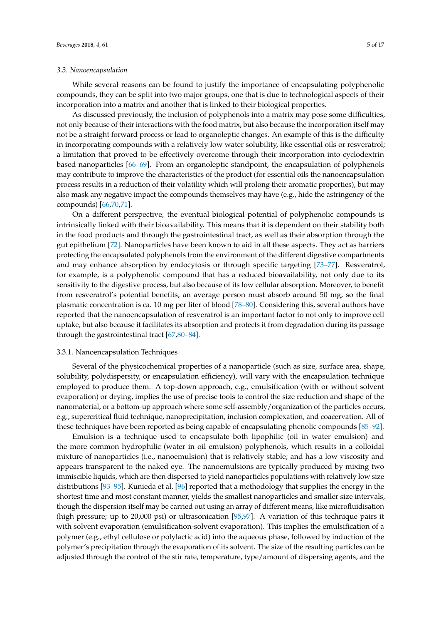## *3.3. Nanoencapsulation*

While several reasons can be found to justify the importance of encapsulating polyphenolic compounds, they can be split into two major groups, one that is due to technological aspects of their incorporation into a matrix and another that is linked to their biological properties.

As discussed previously, the inclusion of polyphenols into a matrix may pose some difficulties, not only because of their interactions with the food matrix, but also because the incorporation itself may not be a straight forward process or lead to organoleptic changes. An example of this is the difficulty in incorporating compounds with a relatively low water solubility, like essential oils or resveratrol; a limitation that proved to be effectively overcome through their incorporation into cyclodextrin based nanoparticles [\[66–](#page-12-11)[69\]](#page-12-12). From an organoleptic standpoint, the encapsulation of polyphenols may contribute to improve the characteristics of the product (for essential oils the nanoencapsulation process results in a reduction of their volatility which will prolong their aromatic properties), but may also mask any negative impact the compounds themselves may have (e.g., hide the astringency of the compounds) [\[66](#page-12-11)[,70](#page-12-13)[,71\]](#page-12-14).

On a different perspective, the eventual biological potential of polyphenolic compounds is intrinsically linked with their bioavailability. This means that it is dependent on their stability both in the food products and through the gastrointestinal tract, as well as their absorption through the gut epithelium [\[72\]](#page-12-15). Nanoparticles have been known to aid in all these aspects. They act as barriers protecting the encapsulated polyphenols from the environment of the different digestive compartments and may enhance absorption by endocytosis or through specific targeting [\[73](#page-12-16)[–77\]](#page-13-0). Resveratrol, for example, is a polyphenolic compound that has a reduced bioavailability, not only due to its sensitivity to the digestive process, but also because of its low cellular absorption. Moreover, to benefit from resveratrol's potential benefits, an average person must absorb around 50 mg, so the final plasmatic concentration is ca. 10 mg per liter of blood [\[78–](#page-13-1)[80\]](#page-13-2). Considering this, several authors have reported that the nanoencapsulation of resveratrol is an important factor to not only to improve cell uptake, but also because it facilitates its absorption and protects it from degradation during its passage through the gastrointestinal tract [\[67](#page-12-17)[,80](#page-13-2)[–84\]](#page-13-3).

#### 3.3.1. Nanoencapsulation Techniques

Several of the physicochemical properties of a nanoparticle (such as size, surface area, shape, solubility, polydispersity, or encapsulation efficiency), will vary with the encapsulation technique employed to produce them. A top-down approach, e.g., emulsification (with or without solvent evaporation) or drying, implies the use of precise tools to control the size reduction and shape of the nanomaterial, or a bottom-up approach where some self-assembly/organization of the particles occurs, e.g., supercritical fluid technique, nanoprecipitation, inclusion complexation, and coacervation. All of these techniques have been reported as being capable of encapsulating phenolic compounds [\[85–](#page-13-4)[92\]](#page-13-5).

Emulsion is a technique used to encapsulate both lipophilic (oil in water emulsion) and the more common hydrophilic (water in oil emulsion) polyphenols, which results in a colloidal mixture of nanoparticles (i.e., nanoemulsion) that is relatively stable; and has a low viscosity and appears transparent to the naked eye. The nanoemulsions are typically produced by mixing two immiscible liquids, which are then dispersed to yield nanoparticles populations with relatively low size distributions [\[93–](#page-13-6)[95\]](#page-13-7). Kunieda et al. [\[96\]](#page-13-8) reported that a methodology that supplies the energy in the shortest time and most constant manner, yields the smallest nanoparticles and smaller size intervals, though the dispersion itself may be carried out using an array of different means, like microfluidisation (high pressure; up to 20,000 psi) or ultrasonication [\[95,](#page-13-7)[97\]](#page-14-0). A variation of this technique pairs it with solvent evaporation (emulsification-solvent evaporation). This implies the emulsification of a polymer (e.g., ethyl cellulose or polylactic acid) into the aqueous phase, followed by induction of the polymer's precipitation through the evaporation of its solvent. The size of the resulting particles can be adjusted through the control of the stir rate, temperature, type/amount of dispersing agents, and the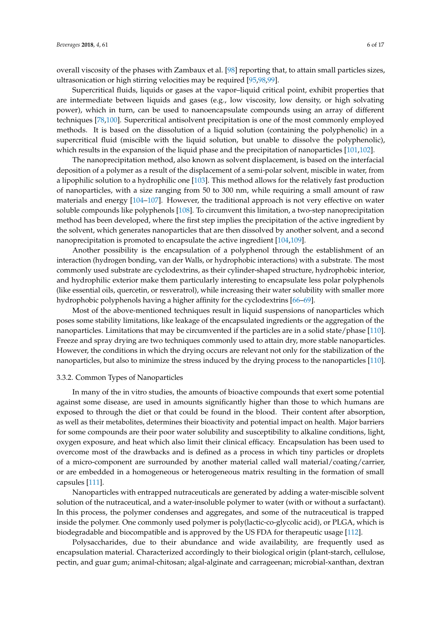overall viscosity of the phases with Zambaux et al. [\[98\]](#page-14-1) reporting that, to attain small particles sizes, ultrasonication or high stirring velocities may be required [\[95](#page-13-7)[,98,](#page-14-1)[99\]](#page-14-2).

Supercritical fluids, liquids or gases at the vapor–liquid critical point, exhibit properties that are intermediate between liquids and gases (e.g., low viscosity, low density, or high solvating power), which in turn, can be used to nanoencapsulate compounds using an array of different techniques [\[78,](#page-13-1)[100\]](#page-14-3). Supercritical antisolvent precipitation is one of the most commonly employed methods. It is based on the dissolution of a liquid solution (containing the polyphenolic) in a supercritical fluid (miscible with the liquid solution, but unable to dissolve the polyphenolic), which results in the expansion of the liquid phase and the precipitation of nanoparticles [\[101,](#page-14-4)[102\]](#page-14-5).

The nanoprecipitation method, also known as solvent displacement, is based on the interfacial deposition of a polymer as a result of the displacement of a semi-polar solvent, miscible in water, from a lipophilic solution to a hydrophilic one [\[103\]](#page-14-6). This method allows for the relatively fast production of nanoparticles, with a size ranging from 50 to 300 nm, while requiring a small amount of raw materials and energy [\[104](#page-14-7)[–107\]](#page-14-8). However, the traditional approach is not very effective on water soluble compounds like polyphenols [\[108\]](#page-14-9). To circumvent this limitation, a two-step nanoprecipitation method has been developed, where the first step implies the precipitation of the active ingredient by the solvent, which generates nanoparticles that are then dissolved by another solvent, and a second nanoprecipitation is promoted to encapsulate the active ingredient [\[104](#page-14-7)[,109\]](#page-14-10).

Another possibility is the encapsulation of a polyphenol through the establishment of an interaction (hydrogen bonding, van der Walls, or hydrophobic interactions) with a substrate. The most commonly used substrate are cyclodextrins, as their cylinder-shaped structure, hydrophobic interior, and hydrophilic exterior make them particularly interesting to encapsulate less polar polyphenols (like essential oils, quercetin, or resveratrol), while increasing their water solubility with smaller more hydrophobic polyphenols having a higher affinity for the cyclodextrins [\[66](#page-12-11)[–69\]](#page-12-12).

Most of the above-mentioned techniques result in liquid suspensions of nanoparticles which poses some stability limitations, like leakage of the encapsulated ingredients or the aggregation of the nanoparticles. Limitations that may be circumvented if the particles are in a solid state/phase [\[110\]](#page-14-11). Freeze and spray drying are two techniques commonly used to attain dry, more stable nanoparticles. However, the conditions in which the drying occurs are relevant not only for the stabilization of the nanoparticles, but also to minimize the stress induced by the drying process to the nanoparticles [\[110\]](#page-14-11).

## 3.3.2. Common Types of Nanoparticles

In many of the in vitro studies, the amounts of bioactive compounds that exert some potential against some disease, are used in amounts significantly higher than those to which humans are exposed to through the diet or that could be found in the blood. Their content after absorption, as well as their metabolites, determines their bioactivity and potential impact on health. Major barriers for some compounds are their poor water solubility and susceptibility to alkaline conditions, light, oxygen exposure, and heat which also limit their clinical efficacy. Encapsulation has been used to overcome most of the drawbacks and is defined as a process in which tiny particles or droplets of a micro-component are surrounded by another material called wall material/coating/carrier, or are embedded in a homogeneous or heterogeneous matrix resulting in the formation of small capsules [\[111\]](#page-14-12).

Nanoparticles with entrapped nutraceuticals are generated by adding a water-miscible solvent solution of the nutraceutical, and a water-insoluble polymer to water (with or without a surfactant). In this process, the polymer condenses and aggregates, and some of the nutraceutical is trapped inside the polymer. One commonly used polymer is poly(lactic-co-glycolic acid), or PLGA, which is biodegradable and biocompatible and is approved by the US FDA for therapeutic usage [\[112\]](#page-14-13).

Polysaccharides, due to their abundance and wide availability, are frequently used as encapsulation material. Characterized accordingly to their biological origin (plant-starch, cellulose, pectin, and guar gum; animal-chitosan; algal-alginate and carrageenan; microbial-xanthan, dextran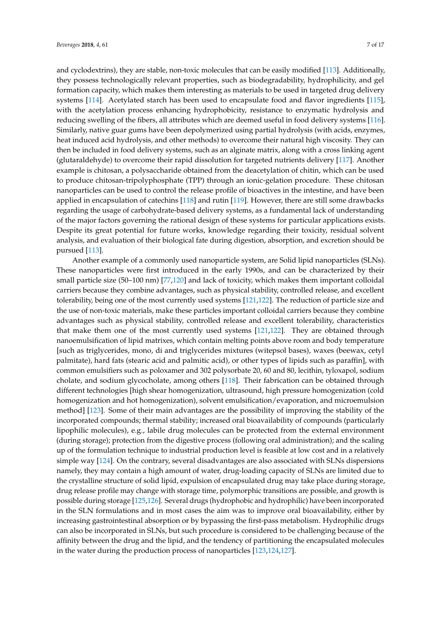and cyclodextrins), they are stable, non-toxic molecules that can be easily modified [\[113\]](#page-14-14). Additionally, they possess technologically relevant properties, such as biodegradability, hydrophilicity, and gel formation capacity, which makes them interesting as materials to be used in targeted drug delivery systems [\[114\]](#page-14-15). Acetylated starch has been used to encapsulate food and flavor ingredients [\[115\]](#page-14-16), with the acetylation process enhancing hydrophobicity, resistance to enzymatic hydrolysis and reducing swelling of the fibers, all attributes which are deemed useful in food delivery systems [\[116\]](#page-14-17). Similarly, native guar gums have been depolymerized using partial hydrolysis (with acids, enzymes, heat induced acid hydrolysis, and other methods) to overcome their natural high viscosity. They can then be included in food delivery systems, such as an alginate matrix, along with a cross linking agent (glutaraldehyde) to overcome their rapid dissolution for targeted nutrients delivery [\[117\]](#page-14-18). Another example is chitosan, a polysaccharide obtained from the deacetylation of chitin, which can be used to produce chitosan-tripolyphosphate (TPP) through an ionic-gelation procedure. These chitosan nanoparticles can be used to control the release profile of bioactives in the intestine, and have been applied in encapsulation of catechins [\[118\]](#page-14-19) and rutin [\[119\]](#page-15-0). However, there are still some drawbacks regarding the usage of carbohydrate-based delivery systems, as a fundamental lack of understanding of the major factors governing the rational design of these systems for particular applications exists. Despite its great potential for future works, knowledge regarding their toxicity, residual solvent analysis, and evaluation of their biological fate during digestion, absorption, and excretion should be pursued [\[113\]](#page-14-14).

Another example of a commonly used nanoparticle system, are Solid lipid nanoparticles (SLNs). These nanoparticles were first introduced in the early 1990s, and can be characterized by their small particle size (50–100 nm) [\[77](#page-13-0)[,120\]](#page-15-1) and lack of toxicity, which makes them important colloidal carriers because they combine advantages, such as physical stability, controlled release, and excellent tolerability, being one of the most currently used systems [\[121](#page-15-2)[,122\]](#page-15-3). The reduction of particle size and the use of non-toxic materials, make these particles important colloidal carriers because they combine advantages such as physical stability, controlled release and excellent tolerability, characteristics that make them one of the most currently used systems [\[121,](#page-15-2)[122\]](#page-15-3). They are obtained through nanoemulsification of lipid matrixes, which contain melting points above room and body temperature [such as triglycerides, mono, di and triglycerides mixtures (witepsol bases), waxes (beewax, cetyl palmitate), hard fats (stearic acid and palmitic acid), or other types of lipids such as paraffin], with common emulsifiers such as poloxamer and 302 polysorbate 20, 60 and 80, lecithin, tyloxapol, sodium cholate, and sodium glycocholate, among others [\[118\]](#page-14-19). Their fabrication can be obtained through different technologies [high shear homogenization, ultrasound, high pressure homogenization (cold homogenization and hot homogenization), solvent emulsification/evaporation, and microemulsion method] [\[123\]](#page-15-4). Some of their main advantages are the possibility of improving the stability of the incorporated compounds; thermal stability; increased oral bioavailability of compounds (particularly lipophilic molecules), e.g., labile drug molecules can be protected from the external environment (during storage); protection from the digestive process (following oral administration); and the scaling up of the formulation technique to industrial production level is feasible at low cost and in a relatively simple way [\[124\]](#page-15-5). On the contrary, several disadvantages are also associated with SLNs dispersions namely, they may contain a high amount of water, drug-loading capacity of SLNs are limited due to the crystalline structure of solid lipid, expulsion of encapsulated drug may take place during storage, drug release profile may change with storage time, polymorphic transitions are possible, and growth is possible during storage [\[125,](#page-15-6)[126\]](#page-15-7). Several drugs (hydrophobic and hydrophilic) have been incorporated in the SLN formulations and in most cases the aim was to improve oral bioavailability, either by increasing gastrointestinal absorption or by bypassing the first-pass metabolism. Hydrophilic drugs can also be incorporated in SLNs, but such procedure is considered to be challenging because of the affinity between the drug and the lipid, and the tendency of partitioning the encapsulated molecules in the water during the production process of nanoparticles [\[123,](#page-15-4)[124,](#page-15-5)[127\]](#page-15-8).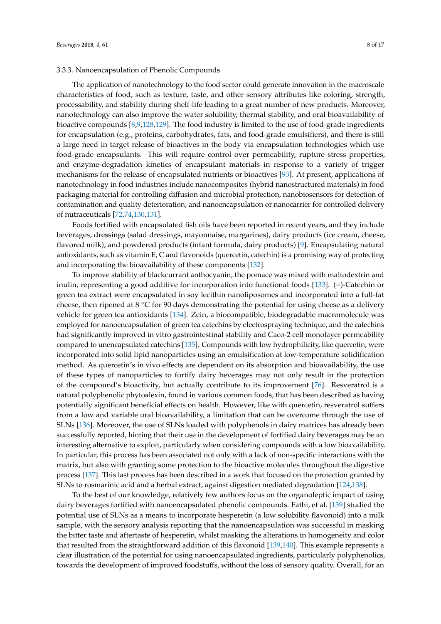The application of nanotechnology to the food sector could generate innovation in the macroscale characteristics of food, such as texture, taste, and other sensory attributes like coloring, strength, processability, and stability during shelf-life leading to a great number of new products. Moreover, nanotechnology can also improve the water solubility, thermal stability, and oral bioavailability of bioactive compounds [\[8](#page-9-8)[,9](#page-9-6)[,128](#page-15-9)[,129\]](#page-15-10). The food industry is limited to the use of food-grade ingredients for encapsulation (e.g., proteins, carbohydrates, fats, and food-grade emulsifiers), and there is still a large need in target release of bioactives in the body via encapsulation technologies which use food-grade encapsulants. This will require control over permeability, rupture stress properties, and enzyme-degradation kinetics of encapsulant materials in response to a variety of trigger mechanisms for the release of encapsulated nutrients or bioactives [\[93\]](#page-13-6). At present, applications of nanotechnology in food industries include nanocomposites (hybrid nanostructured materials) in food packaging material for controlling diffusion and microbial protection, nanobiosensors for detection of contamination and quality deterioration, and nanoencapsulation or nanocarrier for controlled delivery of nutraceuticals [\[72](#page-12-15)[,74](#page-12-18)[,130](#page-15-11)[,131\]](#page-15-12).

Foods fortified with encapsulated fish oils have been reported in recent years, and they include beverages, dressings (salad dressings, mayonnaise, margarines), dairy products (ice cream, cheese, flavored milk), and powdered products (infant formula, dairy products) [\[9\]](#page-9-6). Encapsulating natural antioxidants, such as vitamin E, C and flavonoids (quercetin, catechin) is a promising way of protecting and incorporating the bioavailability of these components [\[132\]](#page-15-13).

To improve stability of blackcurrant anthocyanin, the pomace was mixed with maltodextrin and inulin, representing a good additive for incorporation into functional foods [\[133\]](#page-15-14). (+)-Catechin or green tea extract were encapsulated in soy lecithin nanoliposomes and incorporated into a full-fat cheese, then ripened at 8  $\degree$ C for 90 days demonstrating the potential for using cheese as a delivery vehicle for green tea antioxidants [\[134\]](#page-15-15). Zein, a biocompatible, biodegradable macromolecule was employed for nanoencapsulation of green tea catechins by electrospraying technique, and the catechins had significantly improved in vitro gastrointestinal stability and Caco-2 cell monolayer permeability compared to unencapsulated catechins [\[135\]](#page-15-16). Compounds with low hydrophilicity, like quercetin, were incorporated into solid lipid nanoparticles using an emulsification at low-temperature solidification method. As quercetin's in vivo effects are dependent on its absorption and bioavailability, the use of these types of nanoparticles to fortify dairy beverages may not only result in the protection of the compound's bioactivity, but actually contribute to its improvement [\[76\]](#page-13-9). Resveratrol is a natural polyphenolic phytoalexin, found in various common foods, that has been described as having potentially significant beneficial effects on health. However, like with quercetin, resveratrol suffers from a low and variable oral bioavailability, a limitation that can be overcome through the use of SLNs [\[136\]](#page-15-17). Moreover, the use of SLNs loaded with polyphenols in dairy matrices has already been successfully reported, hinting that their use in the development of fortified dairy beverages may be an interesting alternative to exploit, particularly when considering compounds with a low bioavailability. In particular, this process has been associated not only with a lack of non-specific interactions with the matrix, but also with granting some protection to the bioactive molecules throughout the digestive process [\[137\]](#page-15-18). This last process has been described in a work that focused on the protection granted by SLNs to rosmarinic acid and a herbal extract, against digestion mediated degradation [\[124,](#page-15-5)[138\]](#page-15-19).

To the best of our knowledge, relatively few authors focus on the organoleptic impact of using dairy beverages fortified with nanoencapsulated phenolic compounds. Fathi, et al. [\[139\]](#page-15-20) studied the potential use of SLNs as a means to incorporate hesperetin (a low solubility flavonoid) into a milk sample, with the sensory analysis reporting that the nanoencapsulation was successful in masking the bitter taste and aftertaste of hesperetin, whilst masking the alterations in homogeneity and color that resulted from the straightforward addition of this flavonoid [\[139,](#page-15-20)[140\]](#page-16-0). This example represents a clear illustration of the potential for using nanoencapsulated ingredients, particularly polyphenolics, towards the development of improved foodstuffs, without the loss of sensory quality. Overall, for an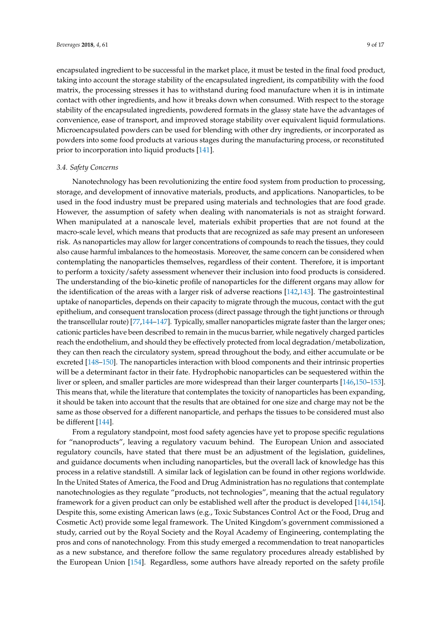encapsulated ingredient to be successful in the market place, it must be tested in the final food product, taking into account the storage stability of the encapsulated ingredient, its compatibility with the food matrix, the processing stresses it has to withstand during food manufacture when it is in intimate contact with other ingredients, and how it breaks down when consumed. With respect to the storage stability of the encapsulated ingredients, powdered formats in the glassy state have the advantages of convenience, ease of transport, and improved storage stability over equivalent liquid formulations. Microencapsulated powders can be used for blending with other dry ingredients, or incorporated as powders into some food products at various stages during the manufacturing process, or reconstituted prior to incorporation into liquid products [\[141\]](#page-16-1).

#### *3.4. Safety Concerns*

Nanotechnology has been revolutionizing the entire food system from production to processing, storage, and development of innovative materials, products, and applications. Nanoparticles, to be used in the food industry must be prepared using materials and technologies that are food grade. However, the assumption of safety when dealing with nanomaterials is not as straight forward. When manipulated at a nanoscale level, materials exhibit properties that are not found at the macro-scale level, which means that products that are recognized as safe may present an unforeseen risk. As nanoparticles may allow for larger concentrations of compounds to reach the tissues, they could also cause harmful imbalances to the homeostasis. Moreover, the same concern can be considered when contemplating the nanoparticles themselves, regardless of their content. Therefore, it is important to perform a toxicity/safety assessment whenever their inclusion into food products is considered. The understanding of the bio-kinetic profile of nanoparticles for the different organs may allow for the identification of the areas with a larger risk of adverse reactions [\[142,](#page-16-2)[143\]](#page-16-3). The gastrointestinal uptake of nanoparticles, depends on their capacity to migrate through the mucous, contact with the gut epithelium, and consequent translocation process (direct passage through the tight junctions or through the transcellular route) [\[77,](#page-13-0)[144–](#page-16-4)[147\]](#page-16-5). Typically, smaller nanoparticles migrate faster than the larger ones; cationic particles have been described to remain in the mucus barrier, while negatively charged particles reach the endothelium, and should they be effectively protected from local degradation/metabolization, they can then reach the circulatory system, spread throughout the body, and either accumulate or be excreted [\[148](#page-16-6)[–150\]](#page-16-7). The nanoparticles interaction with blood components and their intrinsic properties will be a determinant factor in their fate. Hydrophobic nanoparticles can be sequestered within the liver or spleen, and smaller particles are more widespread than their larger counterparts [\[146,](#page-16-8)[150–](#page-16-7)[153\]](#page-16-9). This means that, while the literature that contemplates the toxicity of nanoparticles has been expanding, it should be taken into account that the results that are obtained for one size and charge may not be the same as those observed for a different nanoparticle, and perhaps the tissues to be considered must also be different [\[144\]](#page-16-4).

From a regulatory standpoint, most food safety agencies have yet to propose specific regulations for "nanoproducts", leaving a regulatory vacuum behind. The European Union and associated regulatory councils, have stated that there must be an adjustment of the legislation, guidelines, and guidance documents when including nanoparticles, but the overall lack of knowledge has this process in a relative standstill. A similar lack of legislation can be found in other regions worldwide. In the United States of America, the Food and Drug Administration has no regulations that contemplate nanotechnologies as they regulate "products, not technologies", meaning that the actual regulatory framework for a given product can only be established well after the product is developed [\[144,](#page-16-4)[154\]](#page-16-10). Despite this, some existing American laws (e.g., Toxic Substances Control Act or the Food, Drug and Cosmetic Act) provide some legal framework. The United Kingdom's government commissioned a study, carried out by the Royal Society and the Royal Academy of Engineering, contemplating the pros and cons of nanotechnology. From this study emerged a recommendation to treat nanoparticles as a new substance, and therefore follow the same regulatory procedures already established by the European Union [\[154\]](#page-16-10). Regardless, some authors have already reported on the safety profile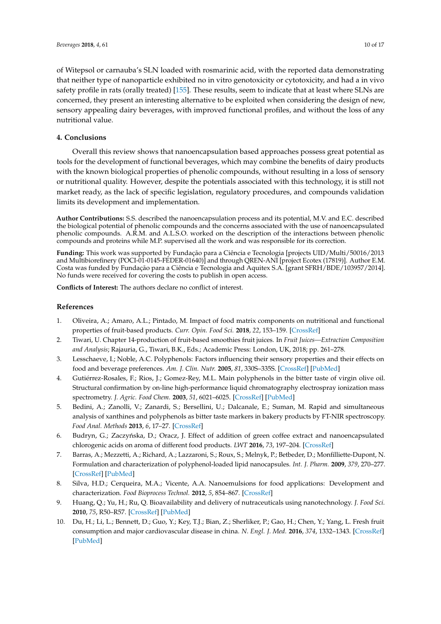of Witepsol or carnauba's SLN loaded with rosmarinic acid, with the reported data demonstrating that neither type of nanoparticle exhibited no in vitro genotoxicity or cytotoxicity, and had a in vivo safety profile in rats (orally treated) [\[155\]](#page-16-11). These results, seem to indicate that at least where SLNs are concerned, they present an interesting alternative to be exploited when considering the design of new, sensory appealing dairy beverages, with improved functional profiles, and without the loss of any nutritional value.

## **4. Conclusions**

Overall this review shows that nanoencapsulation based approaches possess great potential as tools for the development of functional beverages, which may combine the benefits of dairy products with the known biological properties of phenolic compounds, without resulting in a loss of sensory or nutritional quality. However, despite the potentials associated with this technology, it is still not market ready, as the lack of specific legislation, regulatory procedures, and compounds validation limits its development and implementation.

**Author Contributions:** S.S. described the nanoencapsulation process and its potential, M.V. and E.C. described the biological potential of phenolic compounds and the concerns associated with the use of nanoencapsulated phenolic compounds. A.R.M. and A.L.S.O. worked on the description of the interactions between phenolic compounds and proteins while M.P. supervised all the work and was responsible for its correction.

**Funding:** This work was supported by Fundação para a Ciência e Tecnologia [projects UID/Multi/50016/2013 and Multibiorefinery (POCI-01-0145-FEDER-01640)] and through QREN-ANI [project Ecotex (17819)]. Author E.M. Costa was funded by Fundação para a Ciência e Tecnologia and Aquitex S.A. [grant SFRH/BDE/103957/2014]. No funds were received for covering the costs to publish in open access.

**Conflicts of Interest:** The authors declare no conflict of interest.

# **References**

- <span id="page-9-0"></span>1. Oliveira, A.; Amaro, A.L.; Pintado, M. Impact of food matrix components on nutritional and functional properties of fruit-based products. *Curr. Opin. Food Sci.* **2018**, *22*, 153–159. [\[CrossRef\]](http://dx.doi.org/10.1016/j.cofs.2018.04.002)
- <span id="page-9-1"></span>2. Tiwari, U. Chapter 14-production of fruit-based smoothies fruit juices. In *Fruit Juices—Extraction Composition and Analysis*; Rajauria, G., Tiwari, B.K., Eds.; Academic Press: London, UK, 2018; pp. 261–278.
- <span id="page-9-2"></span>3. Lesschaeve, I.; Noble, A.C. Polyphenols: Factors influencing their sensory properties and their effects on food and beverage preferences. *Am. J. Clin. Nutr.* **2005**, *81*, 330S–335S. [\[CrossRef\]](http://dx.doi.org/10.1093/ajcn/81.1.330S) [\[PubMed\]](http://www.ncbi.nlm.nih.gov/pubmed/15640499)
- 4. Gutiérrez-Rosales, F.; Rios, J.; Gomez-Rey, M.L. Main polyphenols in the bitter taste of virgin olive oil. Structural confirmation by on-line high-performance liquid chromatography electrospray ionization mass spectrometry. *J. Agric. Food Chem.* **2003**, *51*, 6021–6025. [\[CrossRef\]](http://dx.doi.org/10.1021/jf021199x) [\[PubMed\]](http://www.ncbi.nlm.nih.gov/pubmed/13129311)
- <span id="page-9-3"></span>5. Bedini, A.; Zanolli, V.; Zanardi, S.; Bersellini, U.; Dalcanale, E.; Suman, M. Rapid and simultaneous analysis of xanthines and polyphenols as bitter taste markers in bakery products by FT-NIR spectroscopy. *Food Anal. Methods* **2013**, *6*, 17–27. [\[CrossRef\]](http://dx.doi.org/10.1007/s12161-012-9405-7)
- <span id="page-9-4"></span>6. Budryn, G.; Zaczyńska, D.; Oracz, J. Effect of addition of green coffee extract and nanoencapsulated chlorogenic acids on aroma of different food products. *LWT* **2016**, *73*, 197–204. [\[CrossRef\]](http://dx.doi.org/10.1016/j.lwt.2016.06.019)
- <span id="page-9-5"></span>7. Barras, A.; Mezzetti, A.; Richard, A.; Lazzaroni, S.; Roux, S.; Melnyk, P.; Betbeder, D.; Monfilliette-Dupont, N. Formulation and characterization of polyphenol-loaded lipid nanocapsules. *Int. J. Pharm.* **2009**, *379*, 270–277. [\[CrossRef\]](http://dx.doi.org/10.1016/j.ijpharm.2009.05.054) [\[PubMed\]](http://www.ncbi.nlm.nih.gov/pubmed/19501139)
- <span id="page-9-8"></span>8. Silva, H.D.; Cerqueira, M.A.; Vicente, A.A. Nanoemulsions for food applications: Development and characterization. *Food Bioprocess Technol.* **2012**, *5*, 854–867. [\[CrossRef\]](http://dx.doi.org/10.1007/s11947-011-0683-7)
- <span id="page-9-6"></span>9. Huang, Q.; Yu, H.; Ru, Q. Bioavailability and delivery of nutraceuticals using nanotechnology. *J. Food Sci.* **2010**, *75*, R50–R57. [\[CrossRef\]](http://dx.doi.org/10.1111/j.1750-3841.2009.01457.x) [\[PubMed\]](http://www.ncbi.nlm.nih.gov/pubmed/20492195)
- <span id="page-9-7"></span>10. Du, H.; Li, L.; Bennett, D.; Guo, Y.; Key, T.J.; Bian, Z.; Sherliker, P.; Gao, H.; Chen, Y.; Yang, L. Fresh fruit consumption and major cardiovascular disease in china. *N. Engl. J. Med.* **2016**, *374*, 1332–1343. [\[CrossRef\]](http://dx.doi.org/10.1056/NEJMoa1501451) [\[PubMed\]](http://www.ncbi.nlm.nih.gov/pubmed/27050205)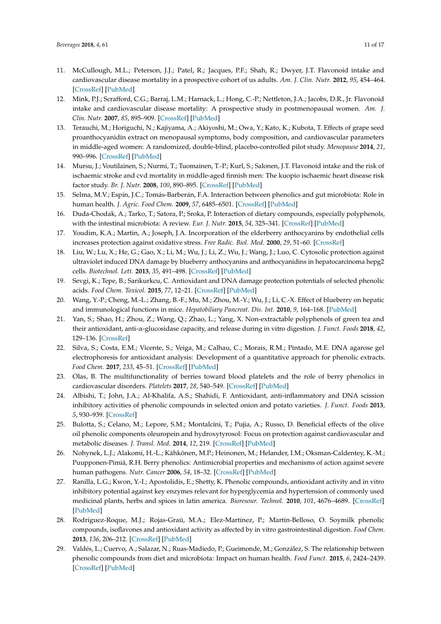- 11. McCullough, M.L.; Peterson, J.J.; Patel, R.; Jacques, P.F.; Shah, R.; Dwyer, J.T. Flavonoid intake and cardiovascular disease mortality in a prospective cohort of us adults. *Am. J. Clin. Nutr.* **2012**, *95*, 454–464. [\[CrossRef\]](http://dx.doi.org/10.3945/ajcn.111.016634) [\[PubMed\]](http://www.ncbi.nlm.nih.gov/pubmed/22218162)
- 12. Mink, P.J.; Scrafford, C.G.; Barraj, L.M.; Harnack, L.; Hong, C.-P.; Nettleton, J.A.; Jacobs, D.R., Jr. Flavonoid intake and cardiovascular disease mortality: A prospective study in postmenopausal women. *Am. J. Clin. Nutr.* **2007**, *85*, 895–909. [\[CrossRef\]](http://dx.doi.org/10.1093/ajcn/85.3.895) [\[PubMed\]](http://www.ncbi.nlm.nih.gov/pubmed/17344514)
- 13. Terauchi, M.; Horiguchi, N.; Kajiyama, A.; Akiyoshi, M.; Owa, Y.; Kato, K.; Kubota, T. Effects of grape seed proanthocyanidin extract on menopausal symptoms, body composition, and cardiovascular parameters in middle-aged women: A randomized, double-blind, placebo-controlled pilot study. *Menopause* **2014**, *21*, 990–996. [\[CrossRef\]](http://dx.doi.org/10.1097/GME.0000000000000200) [\[PubMed\]](http://www.ncbi.nlm.nih.gov/pubmed/24518152)
- 14. Mursu, J.; Voutilainen, S.; Nurmi, T.; Tuomainen, T.-P.; Kurl, S.; Salonen, J.T. Flavonoid intake and the risk of ischaemic stroke and cvd mortality in middle-aged finnish men: The kuopio ischaemic heart disease risk factor study. *Br. J. Nutr.* **2008**, *100*, 890–895. [\[CrossRef\]](http://dx.doi.org/10.1017/S0007114508945694) [\[PubMed\]](http://www.ncbi.nlm.nih.gov/pubmed/18377681)
- <span id="page-10-0"></span>15. Selma, M.V.; Espín, J.C.; Tomás-Barberán, F.A. Interaction between phenolics and gut microbiota: Role in human health. *J. Agric. Food Chem.* **2009**, *57*, 6485–6501. [\[CrossRef\]](http://dx.doi.org/10.1021/jf902107d) [\[PubMed\]](http://www.ncbi.nlm.nih.gov/pubmed/19580283)
- <span id="page-10-1"></span>16. Duda-Chodak, A.; Tarko, T.; Satora, P.; Sroka, P. Interaction of dietary compounds, especially polyphenols, with the intestinal microbiota: A review. *Eur. J. Nutr.* **2015**, *54*, 325–341. [\[CrossRef\]](http://dx.doi.org/10.1007/s00394-015-0852-y) [\[PubMed\]](http://www.ncbi.nlm.nih.gov/pubmed/25672526)
- 17. Youdim, K.A.; Martin, A.; Joseph, J.A. Incorporation of the elderberry anthocyanins by endothelial cells increases protection against oxidative stress. *Free Radic. Biol. Med.* **2000**, *29*, 51–60. [\[CrossRef\]](http://dx.doi.org/10.1016/S0891-5849(00)00329-4)
- 18. Liu, W.; Lu, X.; He, G.; Gao, X.; Li, M.; Wu, J.; Li, Z.; Wu, J.; Wang, J.; Luo, C. Cytosolic protection against ultraviolet induced DNA damage by blueberry anthocyanins and anthocyanidins in hepatocarcinoma hepg2 cells. *Biotechnol. Lett.* **2013**, *35*, 491–498. [\[CrossRef\]](http://dx.doi.org/10.1007/s10529-012-1105-2) [\[PubMed\]](http://www.ncbi.nlm.nih.gov/pubmed/23192380)
- <span id="page-10-3"></span>19. Sevgi, K.; Tepe, B.; Sarikurkcu, C. Antioxidant and DNA damage protection potentials of selected phenolic acids. *Food Chem. Toxicol.* **2015**, *77*, 12–21. [\[CrossRef\]](http://dx.doi.org/10.1016/j.fct.2014.12.006) [\[PubMed\]](http://www.ncbi.nlm.nih.gov/pubmed/25542528)
- 20. Wang, Y.-P.; Cheng, M.-L.; Zhang, B.-F.; Mu, M.; Zhou, M.-Y.; Wu, J.; Li, C.-X. Effect of blueberry on hepatic and immunological functions in mice. *Hepatobiliary Pancreat. Dis. Int.* **2010**, *9*, 164–168. [\[PubMed\]](http://www.ncbi.nlm.nih.gov/pubmed/20382588)
- <span id="page-10-5"></span>21. Yan, S.; Shao, H.; Zhou, Z.; Wang, Q.; Zhao, L.; Yang, X. Non-extractable polyphenols of green tea and their antioxidant, anti-α-glucosidase capacity, and release during in vitro digestion. *J. Funct. Foods* **2018**, *42*, 129–136. [\[CrossRef\]](http://dx.doi.org/10.1016/j.jff.2018.01.006)
- 22. Silva, S.; Costa, E.M.; Vicente, S.; Veiga, M.; Calhau, C.; Morais, R.M.; Pintado, M.E. DNA agarose gel electrophoresis for antioxidant analysis: Development of a quantitative approach for phenolic extracts. *Food Chem.* **2017**, *233*, 45–51. [\[CrossRef\]](http://dx.doi.org/10.1016/j.foodchem.2017.04.075) [\[PubMed\]](http://www.ncbi.nlm.nih.gov/pubmed/28530597)
- <span id="page-10-2"></span>23. Olas, B. The multifunctionality of berries toward blood platelets and the role of berry phenolics in cardiovascular disorders. *Platelets* **2017**, *28*, 540–549. [\[CrossRef\]](http://dx.doi.org/10.1080/09537104.2016.1235689) [\[PubMed\]](http://www.ncbi.nlm.nih.gov/pubmed/27778523)
- <span id="page-10-4"></span>24. Albishi, T.; John, J.A.; Al-Khalifa, A.S.; Shahidi, F. Antioxidant, anti-inflammatory and DNA scission inhibitory activities of phenolic compounds in selected onion and potato varieties. *J. Funct. Foods* **2013**, *5*, 930–939. [\[CrossRef\]](http://dx.doi.org/10.1016/j.jff.2013.02.005)
- 25. Bulotta, S.; Celano, M.; Lepore, S.M.; Montalcini, T.; Pujia, A.; Russo, D. Beneficial effects of the olive oil phenolic components oleuropein and hydroxytyrosol: Focus on protection against cardiovascular and metabolic diseases. *J. Transl. Med.* **2014**, *12*, 219. [\[CrossRef\]](http://dx.doi.org/10.1186/s12967-014-0219-9) [\[PubMed\]](http://www.ncbi.nlm.nih.gov/pubmed/25086598)
- 26. Nohynek, L.J.; Alakomi, H.-L.; Kähkönen, M.P.; Heinonen, M.; Helander, I.M.; Oksman-Caldentey, K.-M.; Puupponen-Pimiä, R.H. Berry phenolics: Antimicrobial properties and mechanisms of action against severe human pathogens. *Nutr. Cancer* **2006**, *54*, 18–32. [\[CrossRef\]](http://dx.doi.org/10.1207/s15327914nc5401_4) [\[PubMed\]](http://www.ncbi.nlm.nih.gov/pubmed/16800770)
- 27. Ranilla, L.G.; Kwon, Y.-I.; Apostolidis, E.; Shetty, K. Phenolic compounds, antioxidant activity and in vitro inhibitory potential against key enzymes relevant for hyperglycemia and hypertension of commonly used medicinal plants, herbs and spices in latin america. *Bioresour. Technol.* **2010**, *101*, 4676–4689. [\[CrossRef\]](http://dx.doi.org/10.1016/j.biortech.2010.01.093) [\[PubMed\]](http://www.ncbi.nlm.nih.gov/pubmed/20185303)
- 28. Rodríguez-Roque, M.J.; Rojas-Graü, M.A.; Elez-Martínez, P.; Martín-Belloso, O. Soymilk phenolic compounds, isoflavones and antioxidant activity as affected by in vitro gastrointestinal digestion. *Food Chem.* **2013**, *136*, 206–212. [\[CrossRef\]](http://dx.doi.org/10.1016/j.foodchem.2012.07.115) [\[PubMed\]](http://www.ncbi.nlm.nih.gov/pubmed/23017414)
- 29. Valdés, L.; Cuervo, A.; Salazar, N.; Ruas-Madiedo, P.; Gueimonde, M.; González, S. The relationship between phenolic compounds from diet and microbiota: Impact on human health. *Food Funct.* **2015**, *6*, 2424–2439. [\[CrossRef\]](http://dx.doi.org/10.1039/C5FO00322A) [\[PubMed\]](http://www.ncbi.nlm.nih.gov/pubmed/26068710)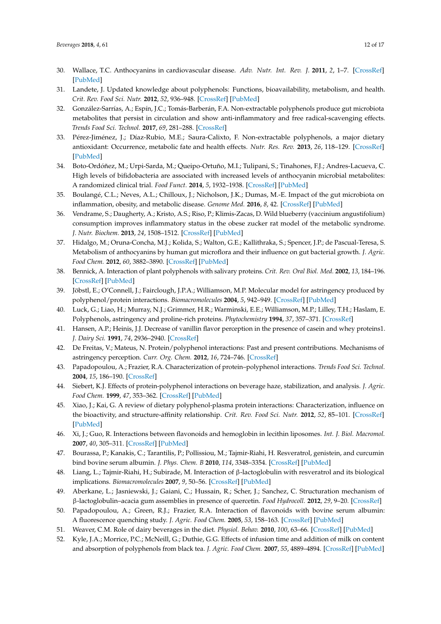- <span id="page-11-0"></span>30. Wallace, T.C. Anthocyanins in cardiovascular disease. *Adv. Nutr. Int. Rev. J.* **2011**, *2*, 1–7. [\[CrossRef\]](http://dx.doi.org/10.3945/an.110.000042) [\[PubMed\]](http://www.ncbi.nlm.nih.gov/pubmed/22211184)
- <span id="page-11-1"></span>31. Landete, J. Updated knowledge about polyphenols: Functions, bioavailability, metabolism, and health. *Crit. Rev. Food Sci. Nutr.* **2012**, *52*, 936–948. [\[CrossRef\]](http://dx.doi.org/10.1080/10408398.2010.513779) [\[PubMed\]](http://www.ncbi.nlm.nih.gov/pubmed/22747081)
- 32. González-Sarrías, A.; Espín, J.C.; Tomás-Barberán, F.A. Non-extractable polyphenols produce gut microbiota metabolites that persist in circulation and show anti-inflammatory and free radical-scavenging effects. *Trends Food Sci. Technol.* **2017**, *69*, 281–288. [\[CrossRef\]](http://dx.doi.org/10.1016/j.tifs.2017.07.010)
- 33. Pérez-Jiménez, J.; Díaz-Rubio, M.E.; Saura-Calixto, F. Non-extractable polyphenols, a major dietary antioxidant: Occurrence, metabolic fate and health effects. *Nutr. Res. Rev.* **2013**, *26*, 118–129. [\[CrossRef\]](http://dx.doi.org/10.1017/S0954422413000097) [\[PubMed\]](http://www.ncbi.nlm.nih.gov/pubmed/23930641)
- 34. Boto-Ordóñez, M.; Urpi-Sarda, M.; Queipo-Ortuño, M.I.; Tulipani, S.; Tinahones, F.J.; Andres-Lacueva, C. High levels of bifidobacteria are associated with increased levels of anthocyanin microbial metabolites: A randomized clinical trial. *Food Funct.* **2014**, *5*, 1932–1938. [\[CrossRef\]](http://dx.doi.org/10.1039/C4FO00029C) [\[PubMed\]](http://www.ncbi.nlm.nih.gov/pubmed/24958563)
- 35. Boulangé, C.L.; Neves, A.L.; Chilloux, J.; Nicholson, J.K.; Dumas, M.-E. Impact of the gut microbiota on inflammation, obesity, and metabolic disease. *Genome Med.* **2016**, *8*, 42. [\[CrossRef\]](http://dx.doi.org/10.1186/s13073-016-0303-2) [\[PubMed\]](http://www.ncbi.nlm.nih.gov/pubmed/27098727)
- 36. Vendrame, S.; Daugherty, A.; Kristo, A.S.; Riso, P.; Klimis-Zacas, D. Wild blueberry (vaccinium angustifolium) consumption improves inflammatory status in the obese zucker rat model of the metabolic syndrome. *J. Nutr. Biochem.* **2013**, *24*, 1508–1512. [\[CrossRef\]](http://dx.doi.org/10.1016/j.jnutbio.2012.12.010) [\[PubMed\]](http://www.ncbi.nlm.nih.gov/pubmed/23465589)
- <span id="page-11-2"></span>37. Hidalgo, M.; Oruna-Concha, M.J.; Kolida, S.; Walton, G.E.; Kallithraka, S.; Spencer, J.P.; de Pascual-Teresa, S. Metabolism of anthocyanins by human gut microflora and their influence on gut bacterial growth. *J. Agric. Food Chem.* **2012**, *60*, 3882–3890. [\[CrossRef\]](http://dx.doi.org/10.1021/jf3002153) [\[PubMed\]](http://www.ncbi.nlm.nih.gov/pubmed/22439618)
- <span id="page-11-3"></span>38. Bennick, A. Interaction of plant polyphenols with salivary proteins. *Crit. Rev. Oral Biol. Med.* **2002**, *13*, 184–196. [\[CrossRef\]](http://dx.doi.org/10.1177/154411130201300208) [\[PubMed\]](http://www.ncbi.nlm.nih.gov/pubmed/12097360)
- <span id="page-11-14"></span>39. Jöbstl, E.; O'Connell, J.; Fairclough, J.P.A.; Williamson, M.P. Molecular model for astringency produced by polyphenol/protein interactions. *Biomacromolecules* **2004**, *5*, 942–949. [\[CrossRef\]](http://dx.doi.org/10.1021/bm0345110) [\[PubMed\]](http://www.ncbi.nlm.nih.gov/pubmed/15132685)
- <span id="page-11-13"></span>40. Luck, G.; Liao, H.; Murray, N.J.; Grimmer, H.R.; Warminski, E.E.; Williamson, M.P.; Lilley, T.H.; Haslam, E. Polyphenols, astringency and proline-rich proteins. *Phytochemistry* **1994**, *37*, 357–371. [\[CrossRef\]](http://dx.doi.org/10.1016/0031-9422(94)85061-5)
- <span id="page-11-4"></span>41. Hansen, A.P.; Heinis, J.J. Decrease of vanillin flavor perception in the presence of casein and whey proteins1. *J. Dairy Sci.* **1991**, *74*, 2936–2940. [\[CrossRef\]](http://dx.doi.org/10.3168/jds.S0022-0302(91)78477-4)
- <span id="page-11-5"></span>42. De Freitas, V.; Mateus, N. Protein/polyphenol interactions: Past and present contributions. Mechanisms of astringency perception. *Curr. Org. Chem.* **2012**, *16*, 724–746. [\[CrossRef\]](http://dx.doi.org/10.2174/138527212799958002)
- 43. Papadopoulou, A.; Frazier, R.A. Characterization of protein–polyphenol interactions. *Trends Food Sci. Technol.* **2004**, *15*, 186–190. [\[CrossRef\]](http://dx.doi.org/10.1016/j.tifs.2003.09.017)
- 44. Siebert, K.J. Effects of protein-polyphenol interactions on beverage haze, stabilization, and analysis. *J. Agric. Food Chem.* **1999**, *47*, 353–362. [\[CrossRef\]](http://dx.doi.org/10.1021/jf980703o) [\[PubMed\]](http://www.ncbi.nlm.nih.gov/pubmed/10563900)
- <span id="page-11-6"></span>45. Xiao, J.; Kai, G. A review of dietary polyphenol-plasma protein interactions: Characterization, influence on the bioactivity, and structure-affinity relationship. *Crit. Rev. Food Sci. Nutr.* **2012**, *52*, 85–101. [\[CrossRef\]](http://dx.doi.org/10.1080/10408398.2010.499017) [\[PubMed\]](http://www.ncbi.nlm.nih.gov/pubmed/21991992)
- <span id="page-11-7"></span>46. Xi, J.; Guo, R. Interactions between flavonoids and hemoglobin in lecithin liposomes. *Int. J. Biol. Macromol.* **2007**, *40*, 305–311. [\[CrossRef\]](http://dx.doi.org/10.1016/j.ijbiomac.2006.08.011) [\[PubMed\]](http://www.ncbi.nlm.nih.gov/pubmed/16997370)
- 47. Bourassa, P.; Kanakis, C.; Tarantilis, P.; Pollissiou, M.; Tajmir-Riahi, H. Resveratrol, genistein, and curcumin bind bovine serum albumin. *J. Phys. Chem. B* **2010**, *114*, 3348–3354. [\[CrossRef\]](http://dx.doi.org/10.1021/jp9115996) [\[PubMed\]](http://www.ncbi.nlm.nih.gov/pubmed/20148537)
- <span id="page-11-8"></span>48. Liang, L.; Tajmir-Riahi, H.; Subirade, M. Interaction of β-lactoglobulin with resveratrol and its biological implications. *Biomacromolecules* **2007**, *9*, 50–56. [\[CrossRef\]](http://dx.doi.org/10.1021/bm700728k) [\[PubMed\]](http://www.ncbi.nlm.nih.gov/pubmed/18067252)
- <span id="page-11-9"></span>49. Aberkane, L.; Jasniewski, J.; Gaiani, C.; Hussain, R.; Scher, J.; Sanchez, C. Structuration mechanism of β-lactoglobulin–acacia gum assemblies in presence of quercetin. *Food Hydrocoll.* **2012**, *29*, 9–20. [\[CrossRef\]](http://dx.doi.org/10.1016/j.foodhyd.2012.01.010)
- <span id="page-11-10"></span>50. Papadopoulou, A.; Green, R.J.; Frazier, R.A. Interaction of flavonoids with bovine serum albumin: A fluorescence quenching study. *J. Agric. Food Chem.* **2005**, *53*, 158–163. [\[CrossRef\]](http://dx.doi.org/10.1021/jf048693g) [\[PubMed\]](http://www.ncbi.nlm.nih.gov/pubmed/15631523)
- <span id="page-11-11"></span>51. Weaver, C.M. Role of dairy beverages in the diet. *Physiol. Behav.* **2010**, *100*, 63–66. [\[CrossRef\]](http://dx.doi.org/10.1016/j.physbeh.2010.01.020) [\[PubMed\]](http://www.ncbi.nlm.nih.gov/pubmed/20138073)
- <span id="page-11-12"></span>52. Kyle, J.A.; Morrice, P.C.; McNeill, G.; Duthie, G.G. Effects of infusion time and addition of milk on content and absorption of polyphenols from black tea. *J. Agric. Food Chem.* **2007**, *55*, 4889–4894. [\[CrossRef\]](http://dx.doi.org/10.1021/jf070351y) [\[PubMed\]](http://www.ncbi.nlm.nih.gov/pubmed/17489604)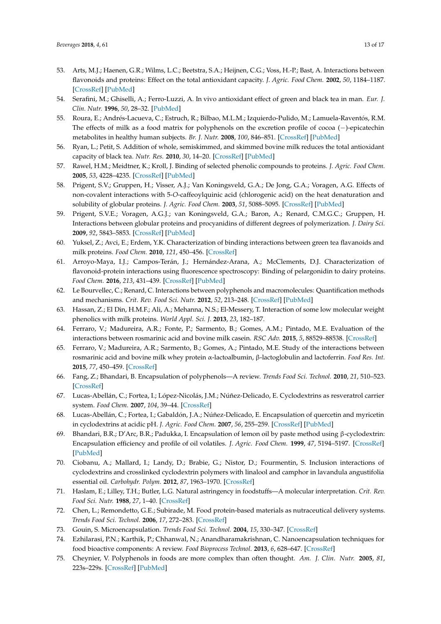- <span id="page-12-0"></span>53. Arts, M.J.; Haenen, G.R.; Wilms, L.C.; Beetstra, S.A.; Heijnen, C.G.; Voss, H.-P.; Bast, A. Interactions between flavonoids and proteins: Effect on the total antioxidant capacity. *J. Agric. Food Chem.* **2002**, *50*, 1184–1187. [\[CrossRef\]](http://dx.doi.org/10.1021/jf010855a) [\[PubMed\]](http://www.ncbi.nlm.nih.gov/pubmed/11853501)
- <span id="page-12-1"></span>54. Serafini, M.; Ghiselli, A.; Ferro-Luzzi, A. In vivo antioxidant effect of green and black tea in man. *Eur. J. Clin. Nutr.* **1996**, *50*, 28–32. [\[PubMed\]](http://www.ncbi.nlm.nih.gov/pubmed/8617188)
- <span id="page-12-2"></span>55. Roura, E.; Andrés-Lacueva, C.; Estruch, R.; Bilbao, M.L.M.; Izquierdo-Pulido, M.; Lamuela-Raventós, R.M. The effects of milk as a food matrix for polyphenols on the excretion profile of cocoa (−)-epicatechin metabolites in healthy human subjects. *Br. J. Nutr.* **2008**, *100*, 846–851. [\[CrossRef\]](http://dx.doi.org/10.1017/S0007114508922534) [\[PubMed\]](http://www.ncbi.nlm.nih.gov/pubmed/18257943)
- <span id="page-12-3"></span>56. Ryan, L.; Petit, S. Addition of whole, semiskimmed, and skimmed bovine milk reduces the total antioxidant capacity of black tea. *Nutr. Res.* **2010**, *30*, 14–20. [\[CrossRef\]](http://dx.doi.org/10.1016/j.nutres.2009.11.005) [\[PubMed\]](http://www.ncbi.nlm.nih.gov/pubmed/20116655)
- <span id="page-12-4"></span>57. Rawel, H.M.; Meidtner, K.; Kroll, J. Binding of selected phenolic compounds to proteins. *J. Agric. Food Chem.* **2005**, *53*, 4228–4235. [\[CrossRef\]](http://dx.doi.org/10.1021/jf0480290) [\[PubMed\]](http://www.ncbi.nlm.nih.gov/pubmed/15884865)
- <span id="page-12-5"></span>58. Prigent, S.V.; Gruppen, H.; Visser, A.J.; Van Koningsveld, G.A.; De Jong, G.A.; Voragen, A.G. Effects of non-covalent interactions with 5-*O*-caffeoylquinic acid (chlorogenic acid) on the heat denaturation and solubility of globular proteins. *J. Agric. Food Chem.* **2003**, *51*, 5088–5095. [\[CrossRef\]](http://dx.doi.org/10.1021/jf021229w) [\[PubMed\]](http://www.ncbi.nlm.nih.gov/pubmed/12903974)
- 59. Prigent, S.V.E.; Voragen, A.G.J.; van Koningsveld, G.A.; Baron, A.; Renard, C.M.G.C.; Gruppen, H. Interactions between globular proteins and procyanidins of different degrees of polymerization. *J. Dairy Sci.* **2009**, *92*, 5843–5853. [\[CrossRef\]](http://dx.doi.org/10.3168/jds.2009-2261) [\[PubMed\]](http://www.ncbi.nlm.nih.gov/pubmed/19923589)
- 60. Yuksel, Z.; Avci, E.; Erdem, Y.K. Characterization of binding interactions between green tea flavanoids and milk proteins. *Food Chem.* **2010**, *121*, 450–456. [\[CrossRef\]](http://dx.doi.org/10.1016/j.foodchem.2009.12.064)
- <span id="page-12-6"></span>61. Arroyo-Maya, I.J.; Campos-Terán, J.; Hernández-Arana, A.; McClements, D.J. Characterization of flavonoid-protein interactions using fluorescence spectroscopy: Binding of pelargonidin to dairy proteins. *Food Chem.* **2016**, *213*, 431–439. [\[CrossRef\]](http://dx.doi.org/10.1016/j.foodchem.2016.06.105) [\[PubMed\]](http://www.ncbi.nlm.nih.gov/pubmed/27451201)
- <span id="page-12-7"></span>62. Le Bourvellec, C.; Renard, C. Interactions between polyphenols and macromolecules: Quantification methods and mechanisms. *Crit. Rev. Food Sci. Nutr.* **2012**, *52*, 213–248. [\[CrossRef\]](http://dx.doi.org/10.1080/10408398.2010.499808) [\[PubMed\]](http://www.ncbi.nlm.nih.gov/pubmed/22214442)
- <span id="page-12-8"></span>63. Hassan, Z.; El Din, H.M.F.; Ali, A.; Mehanna, N.S.; El-Messery, T. Interaction of some low molecular weight phenolics with milk proteins. *World Appl. Sci. J.* **2013**, *23*, 182–187.
- <span id="page-12-9"></span>64. Ferraro, V.; Madureira, A.R.; Fonte, P.; Sarmento, B.; Gomes, A.M.; Pintado, M.E. Evaluation of the interactions between rosmarinic acid and bovine milk casein. *RSC Adv.* **2015**, *5*, 88529–88538. [\[CrossRef\]](http://dx.doi.org/10.1039/C5RA11973A)
- <span id="page-12-10"></span>65. Ferraro, V.; Madureira, A.R.; Sarmento, B.; Gomes, A.; Pintado, M.E. Study of the interactions between rosmarinic acid and bovine milk whey protein α-lactoalbumin, β-lactoglobulin and lactoferrin. *Food Res. Int.* **2015**, *77*, 450–459. [\[CrossRef\]](http://dx.doi.org/10.1016/j.foodres.2015.08.024)
- <span id="page-12-11"></span>66. Fang, Z.; Bhandari, B. Encapsulation of polyphenols—A review. *Trends Food Sci. Technol.* **2010**, *21*, 510–523. [\[CrossRef\]](http://dx.doi.org/10.1016/j.tifs.2010.08.003)
- <span id="page-12-17"></span>67. Lucas-Abellán, C.; Fortea, I.; López-Nicolás, J.M.; Núñez-Delicado, E. Cyclodextrins as resveratrol carrier system. *Food Chem.* **2007**, *104*, 39–44. [\[CrossRef\]](http://dx.doi.org/10.1016/j.foodchem.2006.10.068)
- 68. Lucas-Abellán, C.; Fortea, I.; Gabaldón, J.A.; Núñez-Delicado, E. Encapsulation of quercetin and myricetin in cyclodextrins at acidic pH. *J. Agric. Food Chem.* **2007**, *56*, 255–259. [\[CrossRef\]](http://dx.doi.org/10.1021/jf0720640) [\[PubMed\]](http://www.ncbi.nlm.nih.gov/pubmed/18069793)
- <span id="page-12-12"></span>69. Bhandari, B.R.; D'Arc, B.R.; Padukka, I. Encapsulation of lemon oil by paste method using β-cyclodextrin: Encapsulation efficiency and profile of oil volatiles. *J. Agric. Food Chem.* **1999**, *47*, 5194–5197. [\[CrossRef\]](http://dx.doi.org/10.1021/jf9902503) [\[PubMed\]](http://www.ncbi.nlm.nih.gov/pubmed/10606594)
- <span id="page-12-13"></span>70. Ciobanu, A.; Mallard, I.; Landy, D.; Brabie, G.; Nistor, D.; Fourmentin, S. Inclusion interactions of cyclodextrins and crosslinked cyclodextrin polymers with linalool and camphor in lavandula angustifolia essential oil. *Carbohydr. Polym.* **2012**, *87*, 1963–1970. [\[CrossRef\]](http://dx.doi.org/10.1016/j.carbpol.2011.10.005)
- <span id="page-12-14"></span>71. Haslam, E.; Lilley, T.H.; Butler, L.G. Natural astringency in foodstuffs—A molecular interpretation. *Crit. Rev. Food Sci. Nutr.* **1988**, *27*, 1–40. [\[CrossRef\]](http://dx.doi.org/10.1080/10408398809527476)
- <span id="page-12-15"></span>72. Chen, L.; Remondetto, G.E.; Subirade, M. Food protein-based materials as nutraceutical delivery systems. *Trends Food Sci. Technol.* **2006**, *17*, 272–283. [\[CrossRef\]](http://dx.doi.org/10.1016/j.tifs.2005.12.011)
- <span id="page-12-16"></span>73. Gouin, S. Microencapsulation. *Trends Food Sci. Technol.* **2004**, *15*, 330–347. [\[CrossRef\]](http://dx.doi.org/10.1016/j.tifs.2003.10.005)
- <span id="page-12-18"></span>74. Ezhilarasi, P.N.; Karthik, P.; Chhanwal, N.; Anandharamakrishnan, C. Nanoencapsulation techniques for food bioactive components: A review. *Food Bioprocess Technol.* **2013**, *6*, 628–647. [\[CrossRef\]](http://dx.doi.org/10.1007/s11947-012-0944-0)
- 75. Cheynier, V. Polyphenols in foods are more complex than often thought. *Am. J. Clin. Nutr.* **2005**, *81*, 223s–229s. [\[CrossRef\]](http://dx.doi.org/10.1093/ajcn/81.1.223S) [\[PubMed\]](http://www.ncbi.nlm.nih.gov/pubmed/15640485)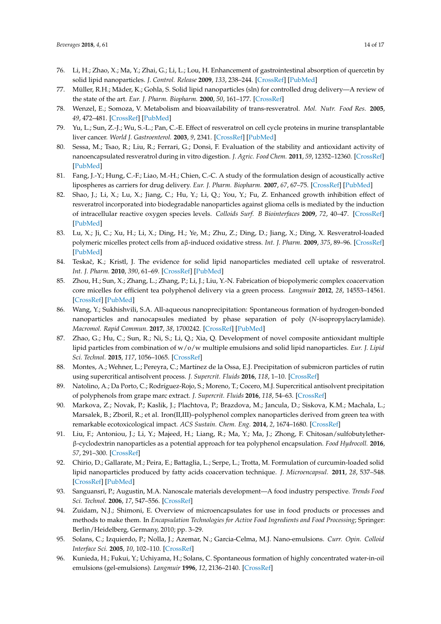- <span id="page-13-9"></span>76. Li, H.; Zhao, X.; Ma, Y.; Zhai, G.; Li, L.; Lou, H. Enhancement of gastrointestinal absorption of quercetin by solid lipid nanoparticles. *J. Control. Release* **2009**, *133*, 238–244. [\[CrossRef\]](http://dx.doi.org/10.1016/j.jconrel.2008.10.002) [\[PubMed\]](http://www.ncbi.nlm.nih.gov/pubmed/18951932)
- <span id="page-13-0"></span>77. Müller, R.H.; Mäder, K.; Gohla, S. Solid lipid nanoparticles (sln) for controlled drug delivery—A review of the state of the art. *Eur. J. Pharm. Biopharm.* **2000**, *50*, 161–177. [\[CrossRef\]](http://dx.doi.org/10.1016/S0939-6411(00)00087-4)
- <span id="page-13-1"></span>78. Wenzel, E.; Somoza, V. Metabolism and bioavailability of trans-resveratrol. *Mol. Nutr. Food Res.* **2005**, *49*, 472–481. [\[CrossRef\]](http://dx.doi.org/10.1002/mnfr.200500010) [\[PubMed\]](http://www.ncbi.nlm.nih.gov/pubmed/15779070)
- 79. Yu, L.; Sun, Z.-J.; Wu, S.-L.; Pan, C.-E. Effect of resveratrol on cell cycle proteins in murine transplantable liver cancer. *World J. Gastroenterol.* **2003**, *9*, 2341. [\[CrossRef\]](http://dx.doi.org/10.3748/wjg.v9.i10.2341) [\[PubMed\]](http://www.ncbi.nlm.nih.gov/pubmed/14562407)
- <span id="page-13-2"></span>80. Sessa, M.; Tsao, R.; Liu, R.; Ferrari, G.; Donsì, F. Evaluation of the stability and antioxidant activity of nanoencapsulated resveratrol during in vitro digestion. *J. Agric. Food Chem.* **2011**, *59*, 12352–12360. [\[CrossRef\]](http://dx.doi.org/10.1021/jf2031346) [\[PubMed\]](http://www.ncbi.nlm.nih.gov/pubmed/22026647)
- 81. Fang, J.-Y.; Hung, C.-F.; Liao, M.-H.; Chien, C.-C. A study of the formulation design of acoustically active lipospheres as carriers for drug delivery. *Eur. J. Pharm. Biopharm.* **2007**, *67*, 67–75. [\[CrossRef\]](http://dx.doi.org/10.1016/j.ejpb.2007.01.008) [\[PubMed\]](http://www.ncbi.nlm.nih.gov/pubmed/17320362)
- 82. Shao, J.; Li, X.; Lu, X.; Jiang, C.; Hu, Y.; Li, Q.; You, Y.; Fu, Z. Enhanced growth inhibition effect of resveratrol incorporated into biodegradable nanoparticles against glioma cells is mediated by the induction of intracellular reactive oxygen species levels. *Colloids Surf. B Biointerfaces* **2009**, *72*, 40–47. [\[CrossRef\]](http://dx.doi.org/10.1016/j.colsurfb.2009.03.010) [\[PubMed\]](http://www.ncbi.nlm.nih.gov/pubmed/19395246)
- 83. Lu, X.; Ji, C.; Xu, H.; Li, X.; Ding, H.; Ye, M.; Zhu, Z.; Ding, D.; Jiang, X.; Ding, X. Resveratrol-loaded polymeric micelles protect cells from aβ-induced oxidative stress. *Int. J. Pharm.* **2009**, *375*, 89–96. [\[CrossRef\]](http://dx.doi.org/10.1016/j.ijpharm.2009.03.021) [\[PubMed\]](http://www.ncbi.nlm.nih.gov/pubmed/19481694)
- <span id="page-13-3"></span>84. Teskač, K.; Kristl, J. The evidence for solid lipid nanoparticles mediated cell uptake of resveratrol. *Int. J. Pharm.* **2010**, *390*, 61–69. [\[CrossRef\]](http://dx.doi.org/10.1016/j.ijpharm.2009.10.011) [\[PubMed\]](http://www.ncbi.nlm.nih.gov/pubmed/19833178)
- <span id="page-13-4"></span>85. Zhou, H.; Sun, X.; Zhang, L.; Zhang, P.; Li, J.; Liu, Y.-N. Fabrication of biopolymeric complex coacervation core micelles for efficient tea polyphenol delivery via a green process. *Langmuir* **2012**, *28*, 14553–14561. [\[CrossRef\]](http://dx.doi.org/10.1021/la303062j) [\[PubMed\]](http://www.ncbi.nlm.nih.gov/pubmed/23039124)
- 86. Wang, Y.; Sukhishvili, S.A. All-aqueous nanoprecipitation: Spontaneous formation of hydrogen-bonded nanoparticles and nanocapsules mediated by phase separation of poly (*N*-isopropylacrylamide). *Macromol. Rapid Commun.* **2017**, *38*, 1700242. [\[CrossRef\]](http://dx.doi.org/10.1002/marc.201700242) [\[PubMed\]](http://www.ncbi.nlm.nih.gov/pubmed/28605156)
- 87. Zhao, G.; Hu, C.; Sun, R.; Ni, S.; Li, Q.; Xia, Q. Development of novel composite antioxidant multiple lipid particles from combination of w/o/w multiple emulsions and solid lipid nanoparticles. *Eur. J. Lipid Sci. Technol.* **2015**, *117*, 1056–1065. [\[CrossRef\]](http://dx.doi.org/10.1002/ejlt.201400398)
- 88. Montes, A.; Wehner, L.; Pereyra, C.; Martínez de la Ossa, E.J. Precipitation of submicron particles of rutin using supercritical antisolvent process. *J. Supercrit. Fluids* **2016**, *118*, 1–10. [\[CrossRef\]](http://dx.doi.org/10.1016/j.supflu.2016.07.020)
- 89. Natolino, A.; Da Porto, C.; Rodríguez-Rojo, S.; Moreno, T.; Cocero, M.J. Supercritical antisolvent precipitation of polyphenols from grape marc extract. *J. Supercrit. Fluids* **2016**, *118*, 54–63. [\[CrossRef\]](http://dx.doi.org/10.1016/j.supflu.2016.07.015)
- 90. Markova, Z.; Novak, P.; Kaslik, J.; Plachtova, P.; Brazdova, M.; Jancula, D.; Siskova, K.M.; Machala, L.; Marsalek, B.; Zboril, R.; et al. Iron(II,III)–polyphenol complex nanoparticles derived from green tea with remarkable ecotoxicological impact. *ACS Sustain. Chem. Eng.* **2014**, *2*, 1674–1680. [\[CrossRef\]](http://dx.doi.org/10.1021/sc5001435)
- 91. Liu, F.; Antoniou, J.; Li, Y.; Majeed, H.; Liang, R.; Ma, Y.; Ma, J.; Zhong, F. Chitosan/sulfobutyletherβ-cyclodextrin nanoparticles as a potential approach for tea polyphenol encapsulation. *Food Hydrocoll.* **2016**, *57*, 291–300. [\[CrossRef\]](http://dx.doi.org/10.1016/j.foodhyd.2016.01.024)
- <span id="page-13-5"></span>92. Chirio, D.; Gallarate, M.; Peira, E.; Battaglia, L.; Serpe, L.; Trotta, M. Formulation of curcumin-loaded solid lipid nanoparticles produced by fatty acids coacervation technique. *J. Microencapsul.* **2011**, *28*, 537–548. [\[CrossRef\]](http://dx.doi.org/10.3109/02652048.2011.590615) [\[PubMed\]](http://www.ncbi.nlm.nih.gov/pubmed/21702702)
- <span id="page-13-6"></span>93. Sanguansri, P.; Augustin, M.A. Nanoscale materials development—A food industry perspective. *Trends Food Sci. Technol.* **2006**, *17*, 547–556. [\[CrossRef\]](http://dx.doi.org/10.1016/j.tifs.2006.04.010)
- 94. Zuidam, N.J.; Shimoni, E. Overview of microencapsulates for use in food products or processes and methods to make them. In *Encapsulation Technologies for Active Food Ingredients and Food Processing*; Springer: Berlin/Heidelberg, Germany, 2010; pp. 3–29.
- <span id="page-13-7"></span>95. Solans, C.; Izquierdo, P.; Nolla, J.; Azemar, N.; Garcia-Celma, M.J. Nano-emulsions. *Curr. Opin. Colloid Interface Sci.* **2005**, *10*, 102–110. [\[CrossRef\]](http://dx.doi.org/10.1016/j.cocis.2005.06.004)
- <span id="page-13-8"></span>96. Kunieda, H.; Fukui, Y.; Uchiyama, H.; Solans, C. Spontaneous formation of highly concentrated water-in-oil emulsions (gel-emulsions). *Langmuir* **1996**, *12*, 2136–2140. [\[CrossRef\]](http://dx.doi.org/10.1021/la950752k)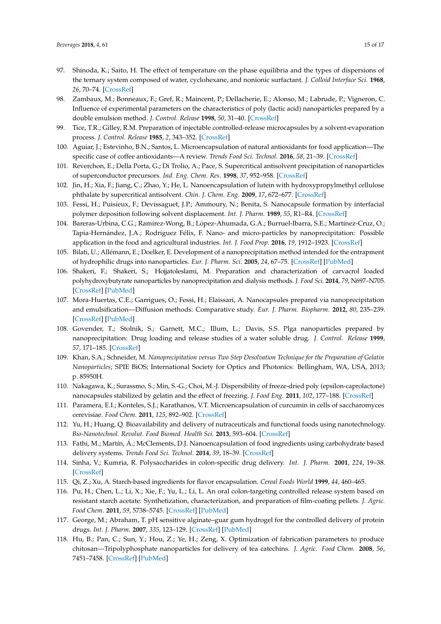- <span id="page-14-0"></span>97. Shinoda, K.; Saito, H. The effect of temperature on the phase equilibria and the types of dispersions of the ternary system composed of water, cyclohexane, and nonionic surfactant. *J. Colloid Interface Sci.* **1968**, *26*, 70–74. [\[CrossRef\]](http://dx.doi.org/10.1016/0021-9797(68)90273-7)
- <span id="page-14-1"></span>98. Zambaux, M.; Bonneaux, F.; Gref, R.; Maincent, P.; Dellacherie, E.; Alonso, M.; Labrude, P.; Vigneron, C. Influence of experimental parameters on the characteristics of poly (lactic acid) nanoparticles prepared by a double emulsion method. *J. Control. Release* **1998**, *50*, 31–40. [\[CrossRef\]](http://dx.doi.org/10.1016/S0168-3659(97)00106-5)
- <span id="page-14-2"></span>99. Tice, T.R.; Gilley, R.M. Preparation of injectable controlled-release microcapsules by a solvent-evaporation process. *J. Control. Release* **1985**, *2*, 343–352. [\[CrossRef\]](http://dx.doi.org/10.1016/0168-3659(85)90056-2)
- <span id="page-14-3"></span>100. Aguiar, J.; Estevinho, B.N.; Santos, L. Microencapsulation of natural antioxidants for food application—The specific case of coffee antioxidants—A review. *Trends Food Sci. Technol.* **2016**, *58*, 21–39. [\[CrossRef\]](http://dx.doi.org/10.1016/j.tifs.2016.10.012)
- <span id="page-14-4"></span>101. Reverchon, E.; Della Porta, G.; Di Trolio, A.; Pace, S. Supercritical antisolvent precipitation of nanoparticles of superconductor precursors. *Ind. Eng. Chem. Res.* **1998**, *37*, 952–958. [\[CrossRef\]](http://dx.doi.org/10.1021/ie970510a)
- <span id="page-14-5"></span>102. Jin, H.; Xia, F.; Jiang, C.; Zhao, Y.; He, L. Nanoencapsulation of lutein with hydroxypropylmethyl cellulose phthalate by supercritical antisolvent. *Chin. J. Chem. Eng.* **2009**, *17*, 672–677. [\[CrossRef\]](http://dx.doi.org/10.1016/S1004-9541(08)60262-1)
- <span id="page-14-6"></span>103. Fessi, H.; Puisieux, F.; Devissaguet, J.P.; Ammoury, N.; Benita, S. Nanocapsule formation by interfacial polymer deposition following solvent displacement. *Int. J. Pharm.* **1989**, *55*, R1–R4. [\[CrossRef\]](http://dx.doi.org/10.1016/0378-5173(89)90281-0)
- <span id="page-14-7"></span>104. Bareras-Urbina, C.G.; Ramírez-Wong, B.; López-Ahumada, G.A.; Burruel-Ibarra, S.E.; Martínez-Cruz, O.; Tapia-Hernández, J.A.; Rodríguez Félix, F. Nano- and micro-particles by nanoprecipitation: Possible application in the food and agricultural industries. *Int. J. Food Prop.* **2016**, *19*, 1912–1923. [\[CrossRef\]](http://dx.doi.org/10.1080/10942912.2015.1089279)
- 105. Bilati, U.; Allémann, E.; Doelker, E. Development of a nanoprecipitation method intended for the entrapment of hydrophilic drugs into nanoparticles. *Eur. J. Pharm. Sci.* **2005**, *24*, 67–75. [\[CrossRef\]](http://dx.doi.org/10.1016/j.ejps.2004.09.011) [\[PubMed\]](http://www.ncbi.nlm.nih.gov/pubmed/15626579)
- 106. Shakeri, F.; Shakeri, S.; Hojjatoleslami, M. Preparation and characterization of carvacrol loaded polyhydroxybutyrate nanoparticles by nanoprecipitation and dialysis methods. *J. Food Sci.* **2014**, *79*, N697–N705. [\[CrossRef\]](http://dx.doi.org/10.1111/1750-3841.12406) [\[PubMed\]](http://www.ncbi.nlm.nih.gov/pubmed/24621231)
- <span id="page-14-8"></span>107. Mora-Huertas, C.E.; Garrigues, O.; Fessi, H.; Elaissari, A. Nanocapsules prepared via nanoprecipitation and emulsification—Diffusion methods: Comparative study. *Eur. J. Pharm. Biopharm.* **2012**, *80*, 235–239. [\[CrossRef\]](http://dx.doi.org/10.1016/j.ejpb.2011.09.013) [\[PubMed\]](http://www.ncbi.nlm.nih.gov/pubmed/21983604)
- <span id="page-14-9"></span>108. Govender, T.; Stolnik, S.; Garnett, M.C.; Illum, L.; Davis, S.S. Plga nanoparticles prepared by nanoprecipitation: Drug loading and release studies of a water soluble drug. *J. Control. Release* **1999**, *57*, 171–185. [\[CrossRef\]](http://dx.doi.org/10.1016/S0168-3659(98)00116-3)
- <span id="page-14-10"></span>109. Khan, S.A.; Schneider, M. *Nanoprecipitation versus Two Step Desolvation Technique for the Preparation of Gelatin Nanoparticles*; SPIE BiOS; International Society for Optics and Photonics: Bellingham, WA, USA, 2013; p. 85950H.
- <span id="page-14-11"></span>110. Nakagawa, K.; Surassmo, S.; Min, S.-G.; Choi, M.-J. Dispersibility of freeze-dried poly (epsilon-caprolactone) nanocapsules stabilized by gelatin and the effect of freezing. *J. Food Eng.* **2011**, *102*, 177–188. [\[CrossRef\]](http://dx.doi.org/10.1016/j.jfoodeng.2010.08.017)
- <span id="page-14-12"></span>111. Paramera, E.I.; Konteles, S.J.; Karathanos, V.T. Microencapsulation of curcumin in cells of saccharomyces cerevisiae. *Food Chem.* **2011**, *125*, 892–902. [\[CrossRef\]](http://dx.doi.org/10.1016/j.foodchem.2010.09.063)
- <span id="page-14-13"></span>112. Yu, H.; Huang, Q. Bioavailability and delivery of nutraceuticals and functional foods using nanotechnology. *Bio-Nanotechnol. Revolut. Food Biomed. Health Sci.* **2013**, 593–604. [\[CrossRef\]](http://dx.doi.org/10.1002/9781118451915.ch35)
- <span id="page-14-14"></span>113. Fathi, M.; Martín, Á.; McClements, D.J. Nanoencapsulation of food ingredients using carbohydrate based delivery systems. *Trends Food Sci. Technol.* **2014**, *39*, 18–39. [\[CrossRef\]](http://dx.doi.org/10.1016/j.tifs.2014.06.007)
- <span id="page-14-15"></span>114. Sinha, V.; Kumria, R. Polysaccharides in colon-specific drug delivery. *Int. J. Pharm.* **2001**, *224*, 19–38. [\[CrossRef\]](http://dx.doi.org/10.1016/S0378-5173(01)00720-7)
- <span id="page-14-16"></span>115. Qi, Z.; Xu, A. Starch-based ingredients for flavor encapsulation. *Cereal Foods World* **1999**, *44*, 460–465.
- <span id="page-14-17"></span>116. Pu, H.; Chen, L.; Li, X.; Xie, F.; Yu, L.; Li, L. An oral colon-targeting controlled release system based on resistant starch acetate: Synthetization, characterization, and preparation of film-coating pellets. *J. Agric. Food Chem.* **2011**, *59*, 5738–5745. [\[CrossRef\]](http://dx.doi.org/10.1021/jf2005468) [\[PubMed\]](http://www.ncbi.nlm.nih.gov/pubmed/21513356)
- <span id="page-14-18"></span>117. George, M.; Abraham, T. pH sensitive alginate–guar gum hydrogel for the controlled delivery of protein drugs. *Int. J. Pharm.* **2007**, *335*, 123–129. [\[CrossRef\]](http://dx.doi.org/10.1016/j.ijpharm.2006.11.009) [\[PubMed\]](http://www.ncbi.nlm.nih.gov/pubmed/17147980)
- <span id="page-14-19"></span>118. Hu, B.; Pan, C.; Sun, Y.; Hou, Z.; Ye, H.; Zeng, X. Optimization of fabrication parameters to produce chitosan—Tripolyphosphate nanoparticles for delivery of tea catechins. *J. Agric. Food Chem.* **2008**, *56*, 7451–7458. [\[CrossRef\]](http://dx.doi.org/10.1021/jf801111c) [\[PubMed\]](http://www.ncbi.nlm.nih.gov/pubmed/18627163)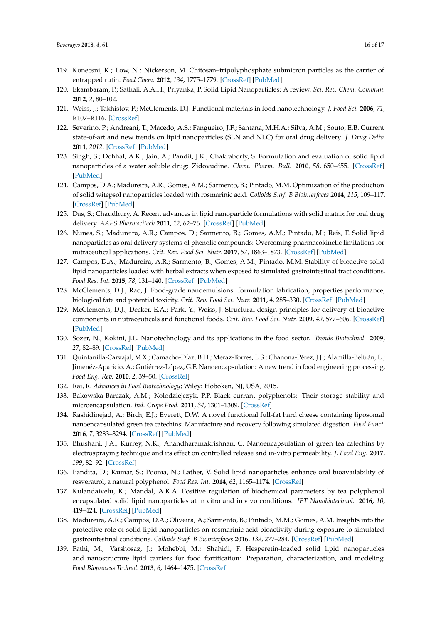- <span id="page-15-0"></span>119. Konecsni, K.; Low, N.; Nickerson, M. Chitosan–tripolyphosphate submicron particles as the carrier of entrapped rutin. *Food Chem.* **2012**, *134*, 1775–1779. [\[CrossRef\]](http://dx.doi.org/10.1016/j.foodchem.2012.03.070) [\[PubMed\]](http://www.ncbi.nlm.nih.gov/pubmed/23442620)
- <span id="page-15-1"></span>120. Ekambaram, P.; Sathali, A.A.H.; Priyanka, P. Solid Lipid Nanoparticles: A review. *Sci. Rev. Chem. Commun.* **2012**, *2*, 80–102.
- <span id="page-15-2"></span>121. Weiss, J.; Takhistov, P.; McClements, D.J. Functional materials in food nanotechnology. *J. Food Sci.* **2006**, *71*, R107–R116. [\[CrossRef\]](http://dx.doi.org/10.1111/j.1750-3841.2006.00195.x)
- <span id="page-15-3"></span>122. Severino, P.; Andreani, T.; Macedo, A.S.; Fangueiro, J.F.; Santana, M.H.A.; Silva, A.M.; Souto, E.B. Current state-of-art and new trends on lipid nanoparticles (SLN and NLC) for oral drug delivery. *J. Drug Deliv.* **2011**, *2012*. [\[CrossRef\]](http://dx.doi.org/10.1155/2012/750891) [\[PubMed\]](http://www.ncbi.nlm.nih.gov/pubmed/22175030)
- <span id="page-15-4"></span>123. Singh, S.; Dobhal, A.K.; Jain, A.; Pandit, J.K.; Chakraborty, S. Formulation and evaluation of solid lipid nanoparticles of a water soluble drug: Zidovudine. *Chem. Pharm. Bull.* **2010**, *58*, 650–655. [\[CrossRef\]](http://dx.doi.org/10.1248/cpb.58.650) [\[PubMed\]](http://www.ncbi.nlm.nih.gov/pubmed/20460791)
- <span id="page-15-5"></span>124. Campos, D.A.; Madureira, A.R.; Gomes, A.M.; Sarmento, B.; Pintado, M.M. Optimization of the production of solid witepsol nanoparticles loaded with rosmarinic acid. *Colloids Surf. B Biointerfaces* **2014**, *115*, 109–117. [\[CrossRef\]](http://dx.doi.org/10.1016/j.colsurfb.2013.10.035) [\[PubMed\]](http://www.ncbi.nlm.nih.gov/pubmed/24413308)
- <span id="page-15-6"></span>125. Das, S.; Chaudhury, A. Recent advances in lipid nanoparticle formulations with solid matrix for oral drug delivery. *AAPS Pharmscitech* **2011**, *12*, 62–76. [\[CrossRef\]](http://dx.doi.org/10.1208/s12249-010-9563-0) [\[PubMed\]](http://www.ncbi.nlm.nih.gov/pubmed/21174180)
- <span id="page-15-7"></span>126. Nunes, S.; Madureira, A.R.; Campos, D.; Sarmento, B.; Gomes, A.M.; Pintado, M.; Reis, F. Solid lipid nanoparticles as oral delivery systems of phenolic compounds: Overcoming pharmacokinetic limitations for nutraceutical applications. *Crit. Rev. Food Sci. Nutr.* **2017**, *57*, 1863–1873. [\[CrossRef\]](http://dx.doi.org/10.1080/10408398.2015.1031337) [\[PubMed\]](http://www.ncbi.nlm.nih.gov/pubmed/26192708)
- <span id="page-15-8"></span>127. Campos, D.A.; Madureira, A.R.; Sarmento, B.; Gomes, A.M.; Pintado, M.M. Stability of bioactive solid lipid nanoparticles loaded with herbal extracts when exposed to simulated gastrointestinal tract conditions. *Food Res. Int.* **2015**, *78*, 131–140. [\[CrossRef\]](http://dx.doi.org/10.1016/j.foodres.2015.10.025) [\[PubMed\]](http://www.ncbi.nlm.nih.gov/pubmed/28433274)
- <span id="page-15-9"></span>128. McClements, D.J.; Rao, J. Food-grade nanoemulsions: formulation fabrication, properties performance, biological fate and potential toxicity. *Crit. Rev. Food Sci. Nutr.* **2011**, *4*, 285–330. [\[CrossRef\]](http://dx.doi.org/10.1080/10408398.2011.559558) [\[PubMed\]](http://www.ncbi.nlm.nih.gov/pubmed/21432697)
- <span id="page-15-10"></span>129. McClements, D.J.; Decker, E.A.; Park, Y.; Weiss, J. Structural design principles for delivery of bioactive components in nutraceuticals and functional foods. *Crit. Rev. Food Sci. Nutr.* **2009**, *49*, 577–606. [\[CrossRef\]](http://dx.doi.org/10.1080/10408390902841529) [\[PubMed\]](http://www.ncbi.nlm.nih.gov/pubmed/19484636)
- <span id="page-15-11"></span>130. Sozer, N.; Kokini, J.L. Nanotechnology and its applications in the food sector. *Trends Biotechnol.* **2009**, *27*, 82–89. [\[CrossRef\]](http://dx.doi.org/10.1016/j.tibtech.2008.10.010) [\[PubMed\]](http://www.ncbi.nlm.nih.gov/pubmed/19135747)
- <span id="page-15-12"></span>131. Quintanilla-Carvajal, M.X.; Camacho-Díaz, B.H.; Meraz-Torres, L.S.; Chanona-Pérez, J.J.; Alamilla-Beltrán, L.; Jimenéz-Aparicio, A.; Gutiérrez-López, G.F. Nanoencapsulation: A new trend in food engineering processing. *Food Eng. Rev.* **2010**, *2*, 39–50. [\[CrossRef\]](http://dx.doi.org/10.1007/s12393-009-9012-6)
- <span id="page-15-13"></span>132. Rai, R. *Advances in Food Biotechnology*; Wiley: Hoboken, NJ, USA, 2015.
- <span id="page-15-14"></span>133. Bakowska-Barczak, A.M.; Kolodziejczyk, P.P. Black currant polyphenols: Their storage stability and microencapsulation. *Ind. Crops Prod.* **2011**, *34*, 1301–1309. [\[CrossRef\]](http://dx.doi.org/10.1016/j.indcrop.2010.10.002)
- <span id="page-15-15"></span>134. Rashidinejad, A.; Birch, E.J.; Everett, D.W. A novel functional full-fat hard cheese containing liposomal nanoencapsulated green tea catechins: Manufacture and recovery following simulated digestion. *Food Funct.* **2016**, *7*, 3283–3294. [\[CrossRef\]](http://dx.doi.org/10.1039/C6FO00354K) [\[PubMed\]](http://www.ncbi.nlm.nih.gov/pubmed/27374326)
- <span id="page-15-16"></span>135. Bhushani, J.A.; Kurrey, N.K.; Anandharamakrishnan, C. Nanoencapsulation of green tea catechins by electrospraying technique and its effect on controlled release and in-vitro permeability. *J. Food Eng.* **2017**, *199*, 82–92. [\[CrossRef\]](http://dx.doi.org/10.1016/j.jfoodeng.2016.12.010)
- <span id="page-15-17"></span>136. Pandita, D.; Kumar, S.; Poonia, N.; Lather, V. Solid lipid nanoparticles enhance oral bioavailability of resveratrol, a natural polyphenol. *Food Res. Int.* **2014**, *62*, 1165–1174. [\[CrossRef\]](http://dx.doi.org/10.1016/j.foodres.2014.05.059)
- <span id="page-15-18"></span>137. Kulandaivelu, K.; Mandal, A.K.A. Positive regulation of biochemical parameters by tea polyphenol encapsulated solid lipid nanoparticles at in vitro and in vivo conditions. *IET Nanobiotechnol.* **2016**, *10*, 419–424. [\[CrossRef\]](http://dx.doi.org/10.1049/iet-nbt.2015.0113) [\[PubMed\]](http://www.ncbi.nlm.nih.gov/pubmed/27906144)
- <span id="page-15-19"></span>138. Madureira, A.R.; Campos, D.A.; Oliveira, A.; Sarmento, B.; Pintado, M.M.; Gomes, A.M. Insights into the protective role of solid lipid nanoparticles on rosmarinic acid bioactivity during exposure to simulated gastrointestinal conditions. *Colloids Surf. B Biointerfaces* **2016**, *139*, 277–284. [\[CrossRef\]](http://dx.doi.org/10.1016/j.colsurfb.2015.11.039) [\[PubMed\]](http://www.ncbi.nlm.nih.gov/pubmed/26766625)
- <span id="page-15-20"></span>139. Fathi, M.; Varshosaz, J.; Mohebbi, M.; Shahidi, F. Hesperetin-loaded solid lipid nanoparticles and nanostructure lipid carriers for food fortification: Preparation, characterization, and modeling. *Food Bioprocess Technol.* **2013**, *6*, 1464–1475. [\[CrossRef\]](http://dx.doi.org/10.1007/s11947-012-0845-2)